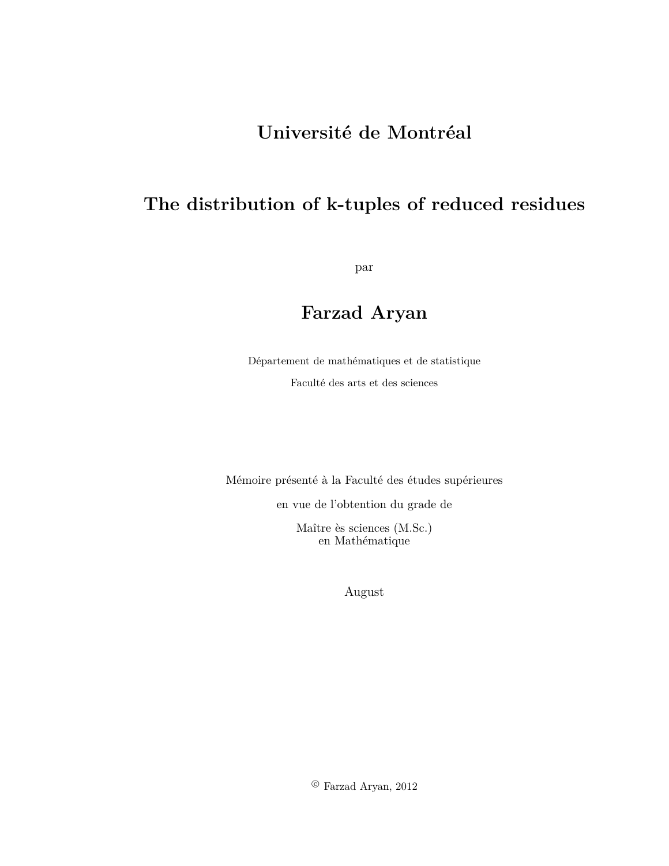# **Université de Montréal**

# **The distribution of k-tuples of reduced residues**

par

## **Farzad Aryan**

Département de mathématiques et de statistique

Faculté des arts et des sciences

Mémoire présenté à la Faculté des études supérieures

en vue de l'obtention du grade de

Maître ès sciences (M.Sc.) en Mathématique

August

 $\odot$  Farzad Aryan, 2012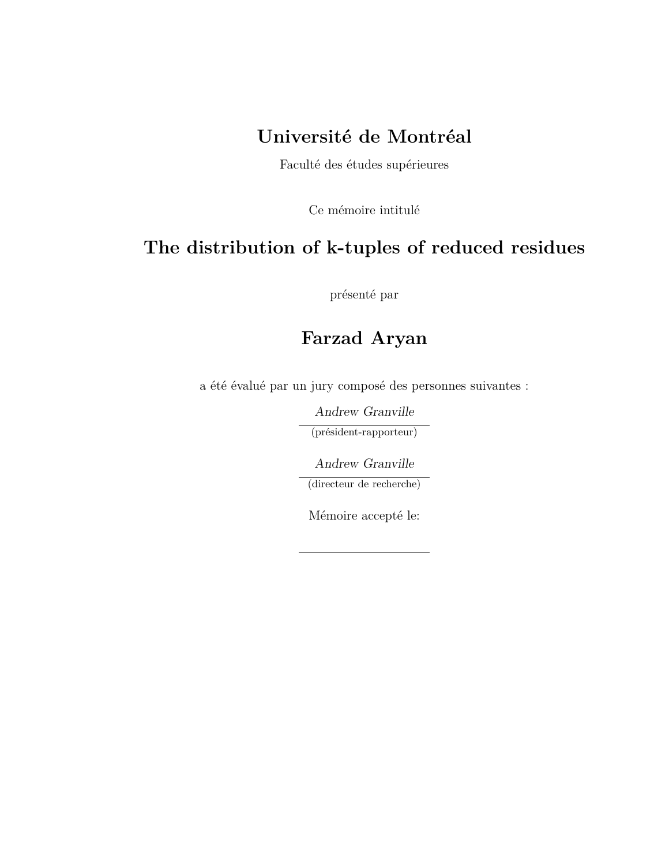# **Université de Montréal**

Faculté des études supérieures

Ce mémoire intitulé

# **The distribution of k-tuples of reduced residues**

présenté par

### **Farzad Aryan**

a été évalué par un jury composé des personnes suivantes :

Andrew Granville (président-rapporteur)

Andrew Granville

(directeur de recherche)

Mémoire accepté le: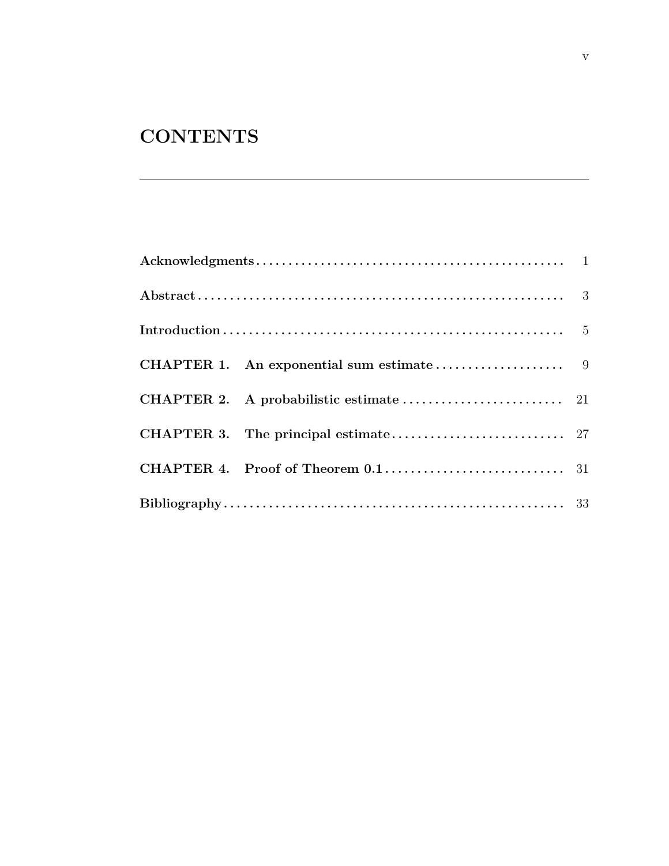# **CONTENTS**

| $\mathbf{Bibliography} \dots 33$ |  |
|----------------------------------|--|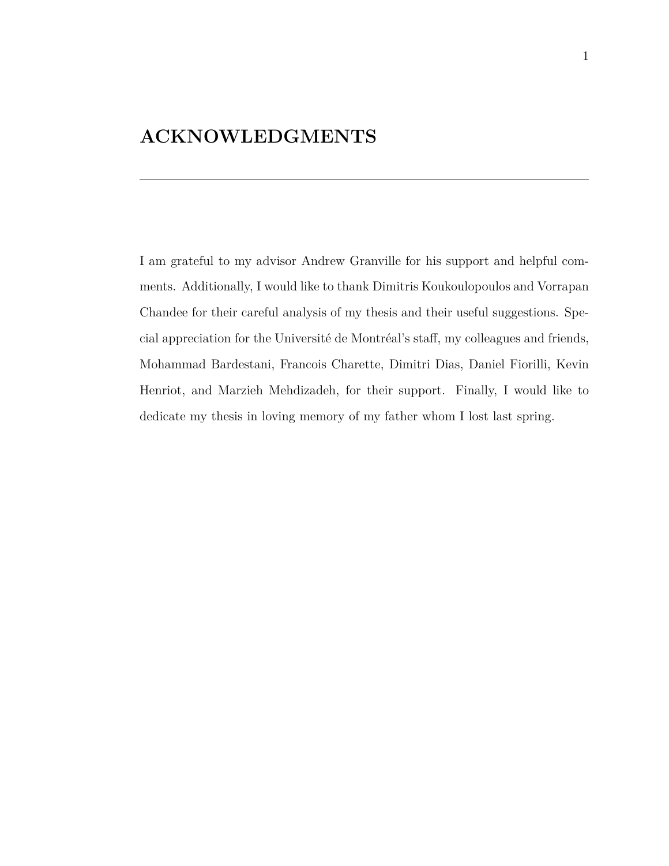# **ACKNOWLEDGMENTS**

I am grateful to my advisor Andrew Granville for his support and helpful comments. Additionally, I would like to thank Dimitris Koukoulopoulos and Vorrapan Chandee for their careful analysis of my thesis and their useful suggestions. Special appreciation for the Université de Montréal's staff, my colleagues and friends, Mohammad Bardestani, Francois Charette, Dimitri Dias, Daniel Fiorilli, Kevin Henriot, and Marzieh Mehdizadeh, for their support. Finally, I would like to dedicate my thesis in loving memory of my father whom I lost last spring.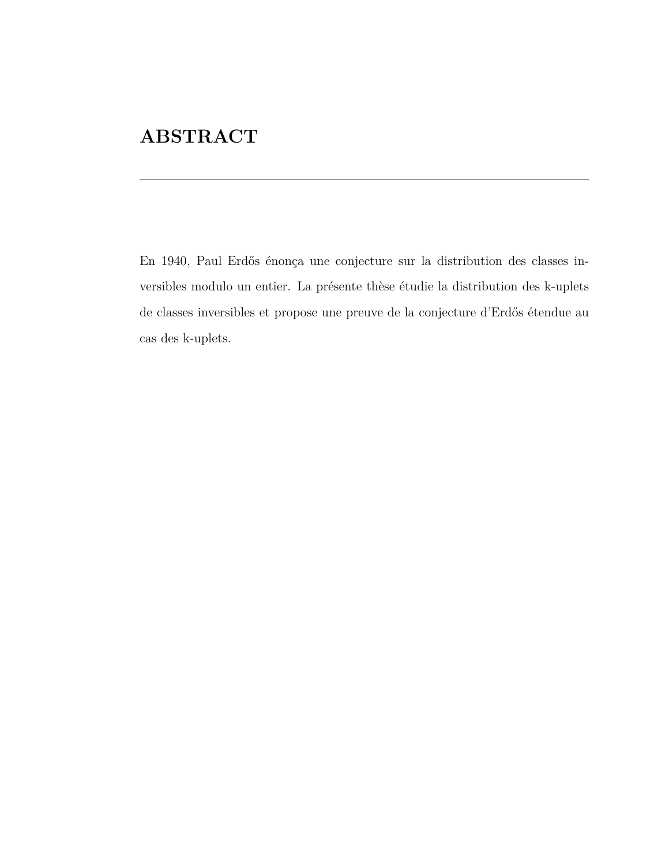# **ABSTRACT**

En 1940, Paul Erdős énonça une conjecture sur la distribution des classes inversibles modulo un entier. La présente thèse étudie la distribution des k-uplets de classes inversibles et propose une preuve de la conjecture d'Erdős étendue au cas des k-uplets.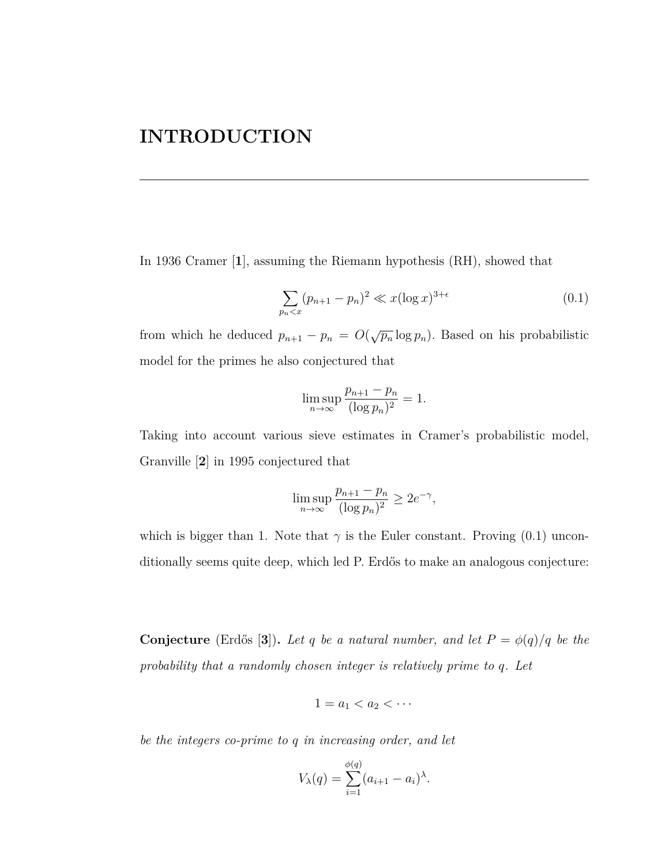### **INTRODUCTION**

In 1936 Cramer [**1**], assuming the Riemann hypothesis (RH), showed that

$$
\sum_{p_n < x} (p_{n+1} - p_n)^2 \ll x (\log x)^{3+\epsilon} \tag{0.1}
$$

from which he deduced  $p_{n+1} - p_n = O(\sqrt{p_n} \log p_n)$ . Based on his probabilistic model for the primes he also conjectured that

$$
\limsup_{n \to \infty} \frac{p_{n+1} - p_n}{(\log p_n)^2} = 1.
$$

Taking into account various sieve estimates in Cramer's probabilistic model, Granville [**2**] in 1995 conjectured that

$$
\limsup_{n \to \infty} \frac{p_{n+1} - p_n}{(\log p_n)^2} \ge 2e^{-\gamma},
$$

which is bigger than 1. Note that  $\gamma$  is the Euler constant. Proving (0.1) unconditionally seems quite deep, which led P. Erdős to make an analogous conjecture:

**Conjecture** (Erdős [3]). Let *q be a natural number, and let*  $P = \phi(q)/q$  *be the probability that a randomly chosen integer is relatively prime to q. Let*

$$
1=a_1
$$

*be the integers co-prime to q in increasing order, and let*

$$
V_{\lambda}(q) = \sum_{i=1}^{\phi(q)} (a_{i+1} - a_i)^{\lambda}.
$$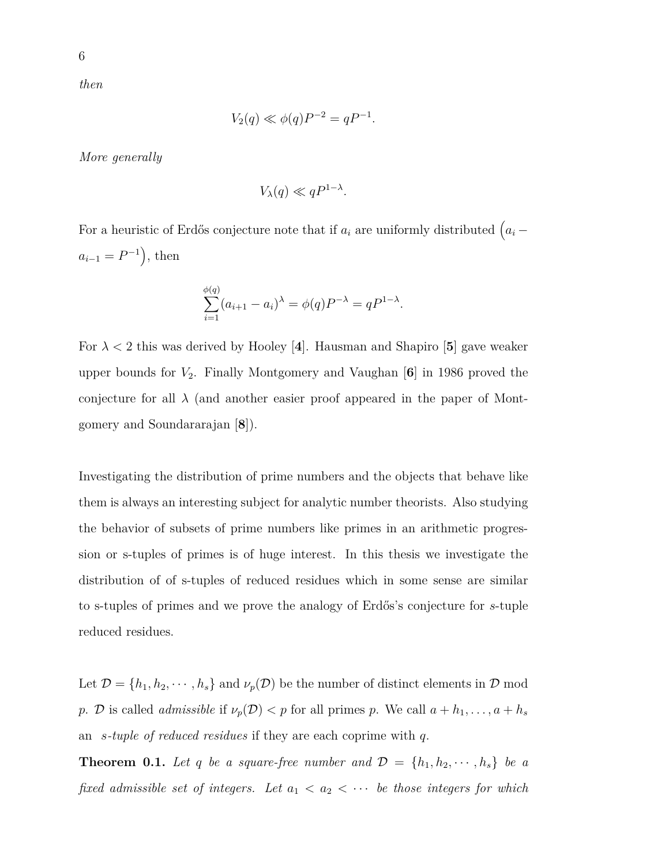*then*

$$
V_2(q) \ll \phi(q)P^{-2} = qP^{-1}.
$$

*More generally*

$$
V_{\lambda}(q) \ll qP^{1-\lambda}.
$$

For a heuristic of Erdős conjecture note that if  $a_i$  are uniformly distributed  $\left(a_i$  $a_{i-1} = P^{-1}$ , then

$$
\sum_{i=1}^{\phi(q)} (a_{i+1} - a_i)^{\lambda} = \phi(q)P^{-\lambda} = qP^{1-\lambda}.
$$

For  $\lambda < 2$  this was derived by Hooley [4]. Hausman and Shapiro [5] gave weaker upper bounds for *V*2. Finally Montgomery and Vaughan [**6**] in 1986 proved the conjecture for all  $\lambda$  (and another easier proof appeared in the paper of Montgomery and Soundararajan [**8**]).

Investigating the distribution of prime numbers and the objects that behave like them is always an interesting subject for analytic number theorists. Also studying the behavior of subsets of prime numbers like primes in an arithmetic progression or s-tuples of primes is of huge interest. In this thesis we investigate the distribution of of s-tuples of reduced residues which in some sense are similar to s-tuples of primes and we prove the analogy of Erdős's conjecture for *s*-tuple reduced residues.

Let  $\mathcal{D} = \{h_1, h_2, \cdots, h_s\}$  and  $\nu_p(\mathcal{D})$  be the number of distinct elements in  $\mathcal D$  mod *p*. *D* is called *admissible* if  $\nu_p(\mathcal{D}) < p$  for all primes *p*. We call  $a + h_1, \ldots, a + h_s$ an *s-tuple of reduced residues* if they are each coprime with *q*.

**Theorem 0.1.** Let q be a square-free number and  $\mathcal{D} = \{h_1, h_2, \dots, h_s\}$  be a *fixed admissible set of integers. Let*  $a_1 < a_2 < \cdots$  *be those integers for which*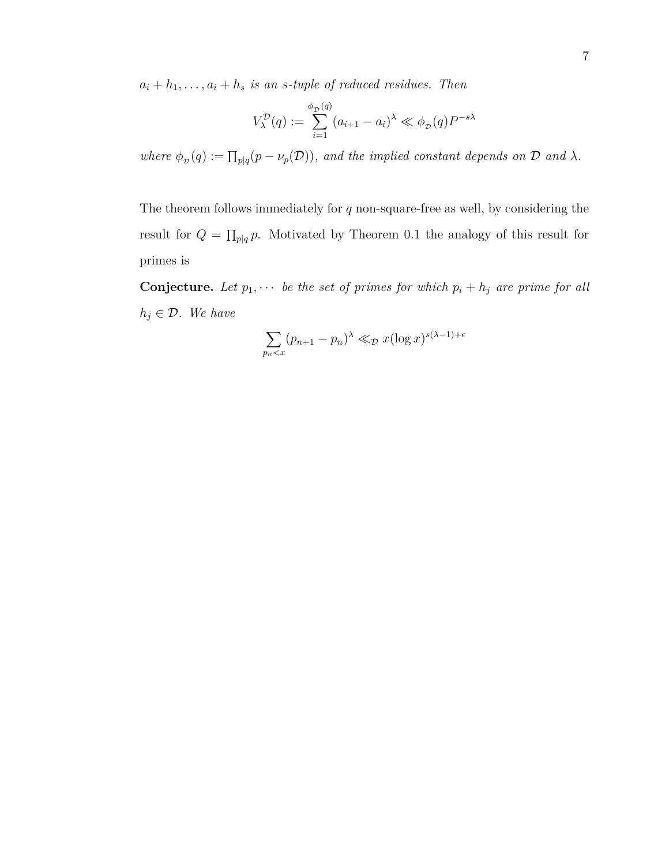$a_i + h_1, \ldots, a_i + h_s$  *is an s-tuple of reduced residues. Then* 

$$
V_{\lambda}^{\mathcal{D}}(q) := \sum_{i=1}^{\phi_{\mathcal{D}}(q)} (a_{i+1} - a_i)^{\lambda} \ll \phi_{\mathcal{D}}(q) P^{-s\lambda}
$$

*where*  $\phi_p(q) := \prod_{p|q}(p - \nu_p(\mathcal{D}))$ *, and the implied constant depends on*  $\mathcal D$  *and*  $\lambda$ *.* 

The theorem follows immediately for *q* non-square-free as well, by considering the result for  $Q = \prod_{p|q} p$ . Motivated by Theorem 0.1 the analogy of this result for primes is

**Conjecture.** Let  $p_1, \cdots$  be the set of primes for which  $p_i + h_j$  are prime for all  $h_j \in \mathcal{D}$ *. We have* 

$$
\sum_{p_n < x} (p_{n+1} - p_n)^\lambda \ll_{\mathcal{D}} x (\log x)^{s(\lambda - 1) + \epsilon}
$$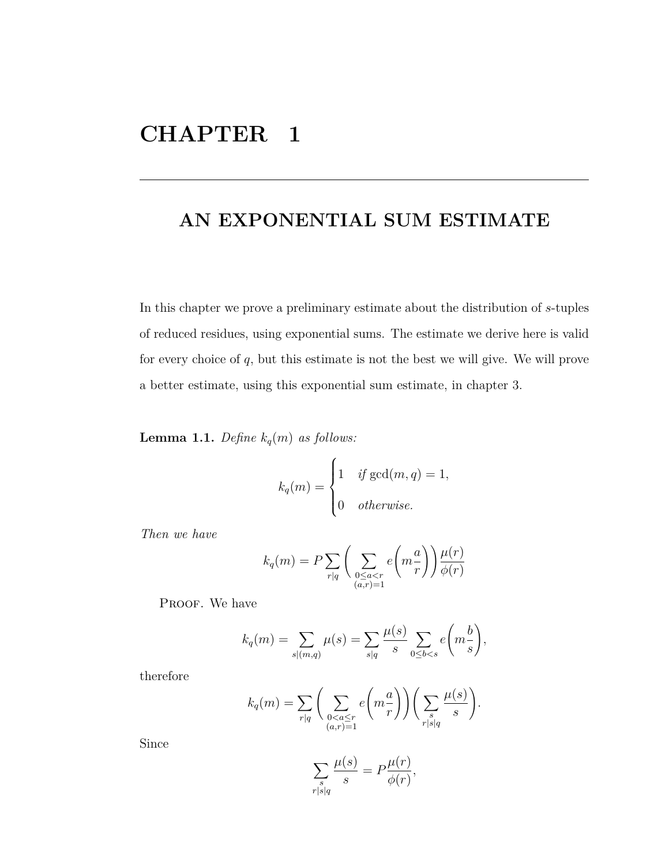# **CHAPTER 1**

# **AN EXPONENTIAL SUM ESTIMATE**

In this chapter we prove a preliminary estimate about the distribution of *s*-tuples of reduced residues, using exponential sums. The estimate we derive here is valid for every choice of *q*, but this estimate is not the best we will give. We will prove a better estimate, using this exponential sum estimate, in chapter 3.

**Lemma 1.1.** *Define*  $k_q(m)$  *as follows:* 

$$
k_q(m) = \begin{cases} 1 & \text{if } \gcd(m, q) = 1, \\ 0 & \text{otherwise.} \end{cases}
$$

*Then we have*

$$
k_q(m) = P \sum_{r|q} \left( \sum_{\substack{0 \le a < r \\ (a,r)=1}} e\left(m \frac{a}{r}\right) \right) \frac{\mu(r)}{\phi(r)}
$$

PROOF. We have

$$
k_q(m) = \sum_{s|(m,q)} \mu(s) = \sum_{s|q} \frac{\mu(s)}{s} \sum_{0 \le b < s} e\left(m\frac{b}{s}\right),
$$

therefore

$$
k_q(m) = \sum_{r|q} \left( \sum_{\substack{0 < a \le r \\ (a,r)=1}} e\left(m\frac{a}{r}\right) \right) \left(\sum_{\substack{s \\ r|s|q}} \frac{\mu(s)}{s}\right).
$$

Since

$$
\sum_{\substack{s\\r|s|q}}\frac{\mu(s)}{s}=P\frac{\mu(r)}{\phi(r)},
$$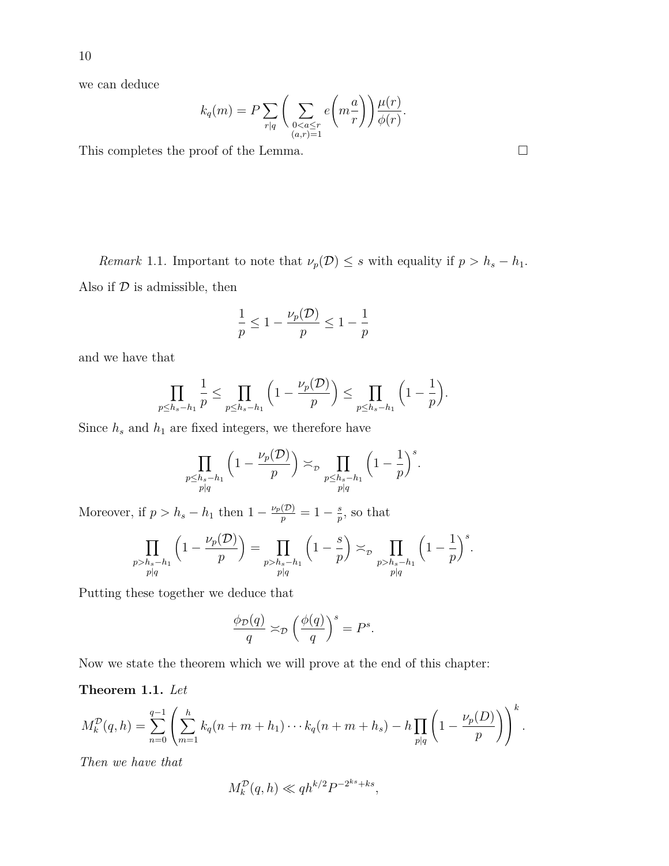we can deduce

$$
k_q(m) = P \sum_{r|q} \left( \sum_{\substack{0 < a \le r \\ (a,r)=1}} e\left(m\frac{a}{r}\right) \right) \frac{\mu(r)}{\phi(r)}.
$$

This completes the proof of the Lemma.

*Remark* 1.1*.* Important to note that  $\nu_p(\mathcal{D}) \leq s$  with equality if  $p > h_s - h_1$ . Also if  $\mathcal D$  is admissible, then

$$
\frac{1}{p} \leq 1 - \frac{\nu_p(\mathcal{D})}{p} \leq 1 - \frac{1}{p}
$$

and we have that

$$
\prod_{p \le h_s - h_1} \frac{1}{p} \le \prod_{p \le h_s - h_1} \left( 1 - \frac{\nu_p(\mathcal{D})}{p} \right) \le \prod_{p \le h_s - h_1} \left( 1 - \frac{1}{p} \right).
$$

Since  $h_s$  and  $h_1$  are fixed integers, we therefore have

$$
\prod_{\substack{p\leq h_s-h_1\\p|q}}\left(1-\frac{\nu_p(\mathcal{D})}{p}\right)\asymp_{\mathcal{D}} \prod_{\substack{p\leq h_s-h_1\\p|q}}\left(1-\frac{1}{p}\right)^s.
$$

Moreover, if  $p > h_s - h_1$  then  $1 - \frac{\nu_p(D)}{p}$  $\frac{\mathcal{D}}{p} = 1 - \frac{s}{p}$  $\frac{s}{p}$ , so that

$$
\prod_{\substack{p>h_s-h_1\\ p|q}}\bigg(1-\frac{\nu_p(\mathcal{D})}{p}\bigg)=\prod_{\substack{p>h_s-h_1\\ p|q}}\bigg(1-\frac{s}{p}\bigg)\asymp_{\mathcal{D}}\prod_{\substack{p>h_s-h_1\\ p|q}}\bigg(1-\frac{1}{p}\bigg)^s.
$$

Putting these together we deduce that

$$
\frac{\phi_{\mathcal{D}}(q)}{q} \asymp_{\mathcal{D}} \left(\frac{\phi(q)}{q}\right)^s = P^s.
$$

Now we state the theorem which we will prove at the end of this chapter:

#### **Theorem 1.1.** *Let*

$$
M_k^{\mathcal{D}}(q,h) = \sum_{n=0}^{q-1} \left( \sum_{m=1}^h k_q(n+m+h_1)\cdots k_q(n+m+h_s) - h \prod_{p|q} \left(1 - \frac{\nu_p(D)}{p}\right) \right)^k.
$$

*Then we have that*

$$
M_k^{\mathcal{D}}(q,h) \ll qh^{k/2}P^{-2^{ks}+ks},
$$

$$
\qquad \qquad \Box
$$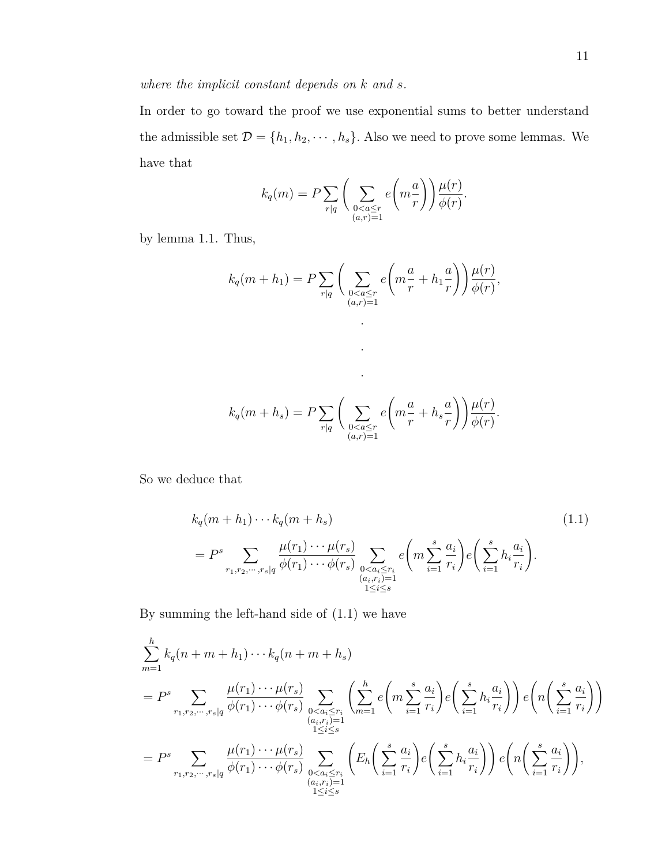In order to go toward the proof we use exponential sums to better understand the admissible set  $\mathcal{D} = \{h_1, h_2, \cdots, h_s\}$ . Also we need to prove some lemmas. We have that

$$
k_q(m) = P \sum_{r|q} \left( \sum_{\substack{0 < a \le r \\ (a,r)=1}} e\left(m \frac{a}{r}\right) \right) \frac{\mu(r)}{\phi(r)}.
$$

by lemma 1.1. Thus,

$$
k_q(m+h_1) = P \sum_{r|q} \left( \sum_{\substack{0 < a \le r \\ (a,r)=1}} e\left(m\frac{a}{r} + h_1\frac{a}{r}\right) \right) \frac{\mu(r)}{\phi(r)},
$$

.

.

.

$$
k_q(m+h_s) = P \sum_{r|q} \left( \sum_{\substack{0 < a \le r \\ (a,r)=1}} e\left(m\frac{a}{r} + h_s \frac{a}{r}\right) \right) \frac{\mu(r)}{\phi(r)}.
$$

So we deduce that

$$
k_q(m + h_1) \cdots k_q(m + h_s)
$$
\n
$$
= P^s \sum_{r_1, r_2, \dots, r_s \mid q} \frac{\mu(r_1) \cdots \mu(r_s)}{\phi(r_1) \cdots \phi(r_s)} \sum_{\substack{0 < a_i \le r_i \\ (a_i, r_i) = 1 \\ 1 \le i \le s}} e\left(m \sum_{i=1}^s \frac{a_i}{r_i}\right) e\left(\sum_{i=1}^s h_i \frac{a_i}{r_i}\right).
$$
\n
$$
(1.1)
$$

By summing the left-hand side of (1.1) we have

$$
\sum_{m=1}^{h} k_q(n+m+h_1)\cdots k_q(n+m+h_s)
$$
\n
$$
= P^s \sum_{r_1,r_2,\dots,r_s|q} \frac{\mu(r_1)\cdots\mu(r_s)}{\phi(r_1)\cdots\phi(r_s)} \sum_{\substack{0\n
$$
= P^s \sum_{r_1,r_2,\dots,r_s|q} \frac{\mu(r_1)\cdots\mu(r_s)}{\phi(r_1)\cdots\phi(r_s)} \sum_{\substack{0\n
$$
\sum_{\substack{(a_i,r_i)=1\\1\leq i\leq s}} \left(E_h\left(\sum_{i=1}^s \frac{a_i}{r_i}\right) e\left(\sum_{i=1}^s h_i \frac{a_i}{r_i}\right)\right) e\left(n\left(\sum_{i=1}^s \frac{a_i}{r_i}\right)\right),
$$
$$
$$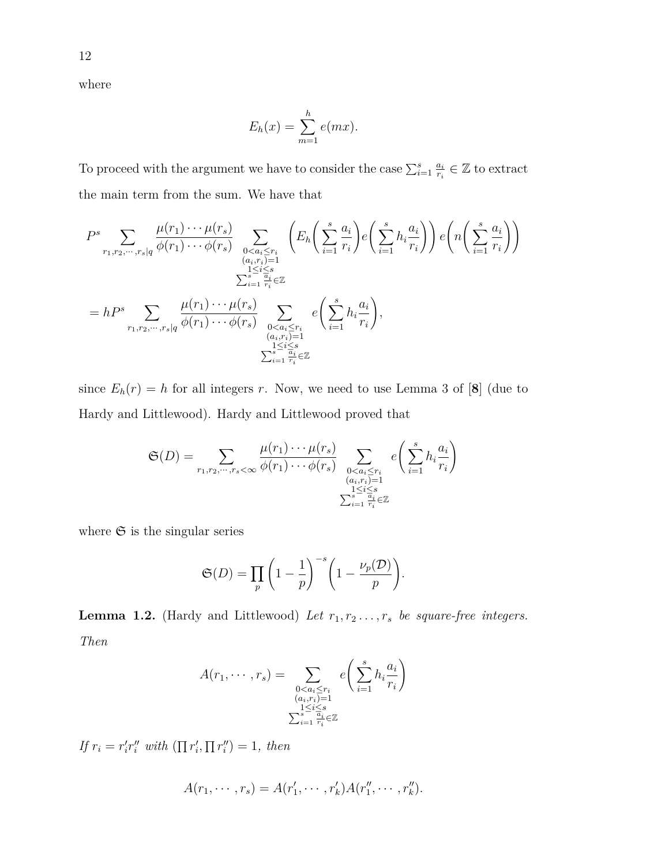where

$$
E_h(x) = \sum_{m=1}^h e(mx).
$$

To proceed with the argument we have to consider the case  $\sum_{i=1}^{s} \frac{a_i}{r_i}$  $\frac{a_i}{r_i} \in \mathbb{Z}$  to extract the main term from the sum. We have that

$$
P^s \sum_{r_1, r_2, \dots, r_s | q} \frac{\mu(r_1) \cdots \mu(r_s)}{\phi(r_1) \cdots \phi(r_s)} \sum_{\substack{0 < a_i \le r_i \\ (a_i, r_i) = 1 \\ \sum_{i=1}^s \frac{\bar{a}_i}{r_i} \\ \sum_{i=1}^s \frac{\bar{a}_i}{r_i} \\ \sum_{i=1}^s \frac{\bar{a}_i}{r_i} \\ \sum_{i=1}^s \frac{\bar{a}_i}{r_i} \\ \sum_{i=1}^s \frac{\bar{a}_i}{r_i} \\ \sum_{i=1}^s \frac{\bar{a}_i}{r_i} \\ \sum_{i=1}^s \frac{\bar{a}_i}{r_i} \\ \sum_{i=1}^s \frac{\bar{a}_i}{r_i} \\ \sum_{i=1}^s \frac{\bar{a}_i}{r_i} \\ \sum_{i=1}^s \frac{\bar{a}_i}{r_i} \\ \sum_{i=1}^s \frac{\bar{a}_i}{r_i} \\ \sum_{i=1}^s \frac{\bar{a}_i}{r_i} \\ \sum_{i=1}^s \frac{\bar{a}_i}{r_i} \\ \sum_{i=1}^s \frac{\bar{a}_i}{r_i} \\ \sum_{i=1}^s \frac{\bar{a}_i}{r_i} \\ \sum_{i=1}^s \frac{\bar{a}_i}{r_i} \\ \sum_{i=1}^s \frac{\bar{a}_i}{r_i} \\ \sum_{i=1}^s \frac{\bar{a}_i}{r_i} \\ \sum_{i=1}^s \frac{\bar{a}_i}{r_i} \\ \sum_{i=1}^s \frac{\bar{a}_i}{r_i} \\ \sum_{i=1}^s \frac{\bar{a}_i}{r_i} \\ \sum_{i=1}^s \frac{\bar{a}_i}{r_i} \\ \sum_{i=1}^s \frac{\bar{a}_i}{r_i} \\ \sum_{i=1}^s \frac{\bar{a}_i}{r_i} \\ \sum_{i=1}^s \frac{\bar{a}_i}{r_i} \\ \sum_{i=1}^s \frac{\bar{a}_i}{r_i} \\ \sum_{i=1}^s \frac{\bar{a}_i}{r_i} \\ \sum_{i=1}^s \frac{\bar{a}_i}{r_i} \\ \sum_{i=1}^s \frac{\bar{a}_i}{r_i} \\ \sum_{i=1}^s \frac{\bar{a}_i}{r_i} \\ \sum_{i=1}^s \frac{\bar{a}_i}{
$$

since  $E_h(r) = h$  for all integers *r*. Now, we need to use Lemma 3 of [8] (due to Hardy and Littlewood). Hardy and Littlewood proved that

$$
\mathfrak{S}(D) = \sum_{r_1, r_2, \cdots, r_s < \infty} \frac{\mu(r_1) \cdots \mu(r_s)}{\phi(r_1) \cdots \phi(r_s)} \sum_{\substack{0 < a_i \le r_i \\ (a_i, r_i) = 1 \\ 1 \le i \le s \\ \sum_{i=1}^s \frac{r_i}{r_i} \in \mathbb{Z}}} e\left(\sum_{i=1}^s h_i \frac{a_i}{r_i}\right)
$$

where  $\mathfrak S$  is the singular series

$$
\mathfrak{S}(D) = \prod_p \left(1 - \frac{1}{p}\right)^{-s} \left(1 - \frac{\nu_p(\mathcal{D})}{p}\right).
$$

**Lemma 1.2.** (Hardy and Littlewood) Let  $r_1, r_2, \ldots, r_s$  be square-free integers. *Then*

$$
A(r_1, \cdots, r_s) = \sum_{\substack{0 < a_i \le r_i \\ (a_i, r_i) = 1 \\ 1 \le i \le s \\ \sum_{i=1}^s \frac{a_i}{r_i} \in \mathbb{Z}}} e\left(\sum_{i=1}^s h_i \frac{a_i}{r_i}\right)
$$

*If*  $r_i = r'_i r''_i$  *with*  $(\prod r'_i, \prod r''_i) = 1$ *, then* 

$$
A(r_1, \cdots, r_s) = A(r'_1, \cdots, r'_k) A(r''_1, \cdots, r''_k).
$$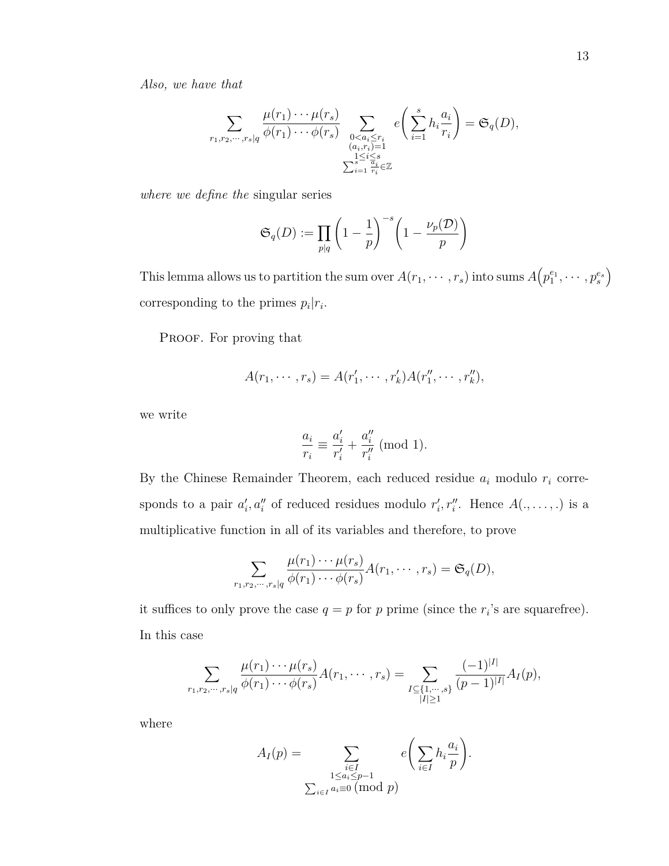*Also, we have that*

$$
\sum_{r_1,r_2,\dots,r_s|q} \frac{\mu(r_1)\cdots\mu(r_s)}{\phi(r_1)\cdots\phi(r_s)} \sum_{\substack{0
$$

*where we define the* singular series

$$
\mathfrak{S}_q(D):=\prod_{p|q}\bigg(1-\frac{1}{p}\bigg)^{-s}\bigg(1-\frac{\nu_p(\mathcal{D})}{p}\bigg)
$$

This lemma allows us to partition the sum over  $A(r_1, \cdots, r_s)$  into sums  $A\left(p_1^{e_1}, \cdots, p_s^{e_s}\right)$ corresponding to the primes  $p_i | r_i$ .

PROOF. For proving that

$$
A(r_1, \cdots, r_s) = A(r'_1, \cdots, r'_k) A(r''_1, \cdots, r''_k),
$$

we write

$$
\frac{a_i}{r_i} \equiv \frac{a'_i}{r'_i} + \frac{a''_i}{r''_i} \; (\text{mod } 1).
$$

By the Chinese Remainder Theorem, each reduced residue  $a_i$  modulo  $r_i$  corresponds to a pair  $a'_i, a''_i$  of reduced residues modulo  $r'_i, r''_i$ . Hence  $A(., \ldots, .)$  is a multiplicative function in all of its variables and therefore, to prove

$$
\sum_{r_1,r_2,\cdots,r_s|q} \frac{\mu(r_1)\cdots\mu(r_s)}{\phi(r_1)\cdots\phi(r_s)} A(r_1,\cdots,r_s) = \mathfrak{S}_q(D),
$$

it suffices to only prove the case  $q = p$  for p prime (since the  $r_i$ 's are squarefree). In this case

$$
\sum_{r_1,r_2,\dots,r_s|q} \frac{\mu(r_1)\cdots\mu(r_s)}{\phi(r_1)\cdots\phi(r_s)} A(r_1,\dots,r_s) = \sum_{\substack{I \subseteq \{1,\dots,s\} \\ |I| \ge 1}} \frac{(-1)^{|I|}}{(p-1)^{|I|}} A_I(p),
$$

where

$$
A_I(p) = \sum_{\substack{i \in I \\ 1 \le a_i \le p-1 \\ \sum_{i \in I} a_i \equiv 0 \pmod{p}}} e\left(\sum_{i \in I} h_i \frac{a_i}{p}\right).
$$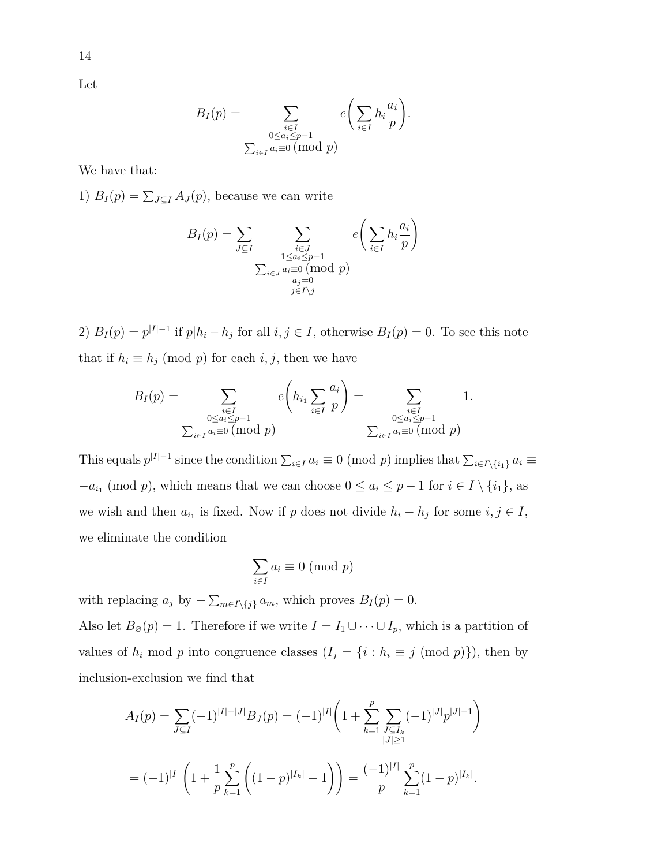14

Let

$$
B_I(p) = \sum_{\substack{i \in I \\ 0 \le a_i \le p-1 \\ \sum_{i \in I} a_i \equiv 0 \pmod{p}}} e\left(\sum_{i \in I} h_i \frac{a_i}{p}\right).
$$

We have that:

1)  $B_I(p) = \sum_{J \subseteq I} A_J(p)$ , because we can write

$$
B_I(p) = \sum_{J \subseteq I} \sum_{\substack{i \in J \\ 1 \le a_i \le p-1 \\ \sum_{i \in J} a_i \equiv 0 \pmod{p} \\ a_j = 0 \\ j \in I \setminus j}} e\left(\sum_{i \in I} h_i \frac{a_i}{p}\right)
$$

2)  $B_I(p) = p^{|I|-1}$  if  $p|h_i - h_j$  for all  $i, j \in I$ , otherwise  $B_I(p) = 0$ . To see this note that if  $h_i \equiv h_j \pmod{p}$  for each *i*, *j*, then we have

$$
B_{I}(p) = \sum_{\substack{i \in I \\ 0 \le a_{i} \le p-1}} e\left(h_{i_{1}} \sum_{i \in I} \frac{a_{i}}{p}\right) = \sum_{\substack{i \in I \\ 0 \le a_{i} \le p-1}} 1.
$$
  

$$
\sum_{i \in I} a_{i} \equiv 0 \pmod{p} \qquad \sum_{i \in I} a_{i} \equiv 0 \pmod{p}
$$

This equals  $p^{|I|-1}$  since the condition  $\sum_{i\in I} a_i \equiv 0 \pmod{p}$  implies that  $\sum_{i\in I\setminus\{i_1\}} a_i \equiv 0$  $-a_{i_1} \pmod{p}$ , which means that we can choose  $0 \leq a_i \leq p-1$  for  $i \in I \setminus \{i_1\}$ , as we wish and then  $a_{i_1}$  is fixed. Now if *p* does not divide  $h_i - h_j$  for some  $i, j \in I$ , we eliminate the condition

$$
\sum_{i \in I} a_i \equiv 0 \ (\mathrm{mod} \ p)
$$

with replacing  $a_j$  by  $-\sum_{m\in I\setminus\{j\}} a_m$ , which proves  $B_I(p)=0$ .

Also let  $B_{\varnothing}(p) = 1$ . Therefore if we write  $I = I_1 \cup \cdots \cup I_p$ , which is a partition of values of  $h_i$  mod  $p$  into congruence classes  $(I_j = \{i : h_i \equiv j \pmod{p}\}\)$ , then by inclusion-exclusion we find that

$$
A_I(p) = \sum_{J \subseteq I} (-1)^{|I| - |J|} B_J(p) = (-1)^{|I|} \left( 1 + \sum_{k=1}^p \sum_{\substack{J \subseteq I_k \\ |J| \ge 1}} (-1)^{|J|} p^{|J| - 1} \right)
$$
  
=  $(-1)^{|I|} \left( 1 + \frac{1}{p} \sum_{k=1}^p \left( (1 - p)^{|I_k|} - 1 \right) \right) = \frac{(-1)^{|I|}}{p} \sum_{k=1}^p (1 - p)^{|I_k|}.$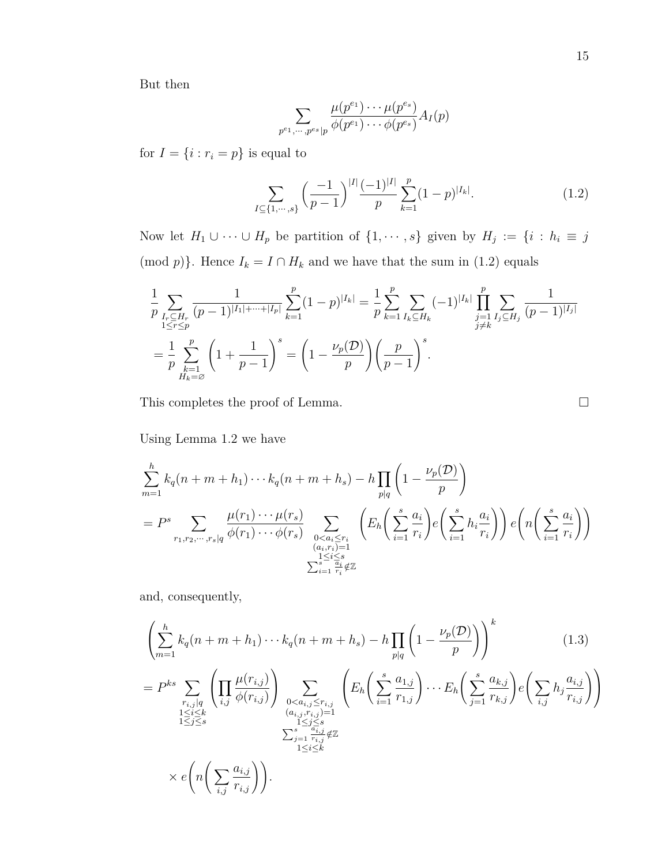But then

$$
\sum_{p^{e_1}, \dots, p^{e_s}|p} \frac{\mu(p^{e_1}) \cdots \mu(p^{e_s})}{\phi(p^{e_1}) \cdots \phi(p^{e_s})} A_I(p)
$$

for  $I = \{i : r_i = p\}$  is equal to

$$
\sum_{I \subseteq \{1,\dots,s\}} \left(\frac{-1}{p-1}\right)^{|I|} \frac{(-1)^{|I|}}{p} \sum_{k=1}^p (1-p)^{|I_k|}.\tag{1.2}
$$

Now let  $H_1 \cup \cdots \cup H_p$  be partition of  $\{1, \dots, s\}$  given by  $H_j := \{i : h_i \equiv j$ (mod *p*)}. Hence  $I_k = I \cap H_k$  and we have that the sum in (1.2) equals

$$
\frac{1}{p} \sum_{\substack{I_r \subseteq H_r \\ 1 \le r \le p}} \frac{1}{(p-1)^{|I_1| + \dots + |I_p|}} \sum_{k=1}^p (1-p)^{|I_k|} = \frac{1}{p} \sum_{k=1}^p \sum_{I_k \subseteq H_k} (-1)^{|I_k|} \prod_{\substack{j=1 \\ j \ne k}}^p \sum_{I_j \subseteq H_j} \frac{1}{(p-1)^{|I_j|}}
$$
\n
$$
= \frac{1}{p} \sum_{\substack{k=1 \\ H_k = \varnothing}}^p \left(1 + \frac{1}{p-1}\right)^s = \left(1 - \frac{\nu_p(\mathcal{D})}{p}\right) \left(\frac{p}{p-1}\right)^s.
$$

This completes the proof of Lemma.  $\hfill \square$ 

Using Lemma 1.2 we have

$$
\sum_{m=1}^{h} k_q(n+m+h_1)\cdots k_q(n+m+h_s) - h \prod_{p|q} \left(1 - \frac{\nu_p(\mathcal{D})}{p}\right)
$$
\n
$$
= P^s \sum_{\substack{r_1, r_2, \cdots, r_s|q}} \frac{\mu(r_1)\cdots\mu(r_s)}{\phi(r_1)\cdots\phi(r_s)} \sum_{\substack{0 < a_i \le r_i \\ (a_i, r_i) = 1 \\ 1 \le i \le s \\ \sum_{i=1}^{s} \frac{a_i}{r_i} \notin \mathbb{Z}}} \left( E_h \left( \sum_{i=1}^s \frac{a_i}{r_i} \right) e \left( \sum_{i=1}^s h_i \frac{a_i}{r_i} \right) \right) e \left( n \left( \sum_{i=1}^s \frac{a_i}{r_i} \right) \right)
$$

and, consequently,

$$
\left(\sum_{m=1}^{h} k_q(n+m+h_1)\cdots k_q(n+m+h_s) - h \prod_{p|q} \left(1 - \frac{\nu_p(\mathcal{D})}{p}\right)\right)^k \tag{1.3}
$$
\n
$$
= P^{ks} \sum_{\substack{r_{i,j}|q \ j \leq k}} \left(\prod_{i,j} \frac{\mu(r_{i,j})}{\phi(r_{i,j})}\right) \sum_{\substack{0 < a_{i,j} \leq r_{i,j} \\ (a_{i,j},r_{i,j}) = 1 \\ 1 \leq j \leq s}} \left(E_h\left(\sum_{i=1}^s \frac{a_{1,j}}{r_{1,j}}\right) \cdots E_h\left(\sum_{j=1}^s \frac{a_{k,j}}{r_{k,j}}\right) e\left(\sum_{i,j} h_j \frac{a_{i,j}}{r_{i,j}}\right)\right)
$$
\n
$$
\sum_{\substack{1 \leq i \leq k \\ 1 \leq i \leq k}} \frac{\mu(r_{i,j})}{r_{i,j}} \sum_{\substack{a_{i,j} \\ 1 \leq i \leq k}} \left(E_h\left(\sum_{i=1}^s \frac{a_{1,j}}{r_{1,j}}\right) \cdots E_h\left(\sum_{j=1}^s \frac{a_{k,j}}{r_{k,j}}\right) e\left(\sum_{i,j} h_j \frac{a_{i,j}}{r_{i,j}}\right)\right)
$$
\n
$$
\times e\left(n\left(\sum_{i,j} \frac{a_{i,j}}{r_{i,j}}\right)\right).
$$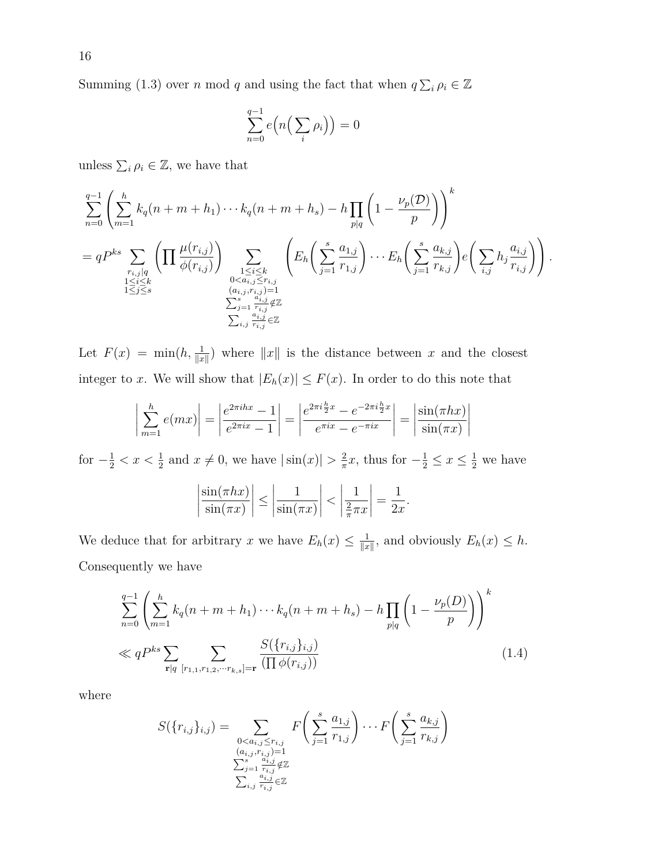Summing (1.3) over *n* mod *q* and using the fact that when  $q \sum_i \rho_i \in \mathbb{Z}$ 

$$
\sum_{n=0}^{q-1} e\Big(n\Big(\sum_i \rho_i\Big)\Big) = 0
$$

unless  $\sum_i \rho_i \in \mathbb{Z}$ , we have that

*q* X−1 *n*=0 X *h m*=1 *kq*(*n* + *m* + *h*1)· · · *kq*(*n* + *m* + *hs*) − *h* Y *p*|*q* 1 − *νp*(D) *p* ! *k* = *qPks* X *ri,j* |*q* 1≤*i*≤*k* 1≤*j*≤*s* Y *<sup>µ</sup>*(*ri,j* ) *φ*(*ri,j* ) ! <sup>X</sup> 1≤*i*≤*k* 0*<ai,j*≤*ri,j* P (*ai,j ,ri,j* )=1 *s j*=1 *ai,j ri,j* ∈*/*Z P *i,j ai,j ri,j* ∈Z *E<sup>h</sup>* X*<sup>s</sup> j*=1 *a*1*,j r*1*,j* ! · · · *E<sup>h</sup>* X*<sup>s</sup> j*=1 *ak,j rk,j* ! *e* X *i,j hj ai,j <sup>r</sup>i,j* ! *.*

Let  $F(x) = \min(h, \frac{1}{\|x\|})$  where  $\|x\|$  is the distance between *x* and the closest integer to *x*. We will show that  $|E_h(x)| \leq F(x)$ . In order to do this note that

$$
\left| \sum_{m=1}^{h} e(mx) \right| = \left| \frac{e^{2\pi i hx} - 1}{e^{2\pi ix} - 1} \right| = \left| \frac{e^{2\pi i \frac{h}{2}x} - e^{-2\pi i \frac{h}{2}x}}{e^{\pi ix} - e^{-\pi ix}} \right| = \left| \frac{\sin(\pi hx)}{\sin(\pi x)} \right|
$$

for  $-\frac{1}{2} < x < \frac{1}{2}$  and  $x \neq 0$ , we have  $|\sin(x)| > \frac{2}{\pi}$  $\frac{2}{\pi}x$ , thus for  $-\frac{1}{2} \leq x \leq \frac{1}{2}$  we have

$$
\left|\frac{\sin(\pi hx)}{\sin(\pi x)}\right| \le \left|\frac{1}{\sin(\pi x)}\right| < \left|\frac{1}{\frac{2}{\pi}\pi x}\right| = \frac{1}{2x}
$$

*.*

We deduce that for arbitrary *x* we have  $E_h(x) \leq \frac{1}{\ln x}$  $\frac{1}{\|x\|}$ , and obviously  $E_h(x) \leq h$ . Consequently we have

$$
\sum_{n=0}^{q-1} \left( \sum_{m=1}^{h} k_q(n+m+h_1) \cdots k_q(n+m+h_s) - h \prod_{p|q} \left( 1 - \frac{\nu_p(D)}{p} \right) \right)^k
$$
  

$$
\ll qP^{ks} \sum_{\mathbf{r}|q} \sum_{[r_{1,1}, r_{1,2}, \cdots r_{k,s}] = \mathbf{r}} \frac{S(\{r_{i,j}\}_{i,j})}{(\prod \phi(r_{i,j}))}
$$
(1.4)

where

$$
S(\{r_{i,j}\}_{i,j}) = \sum_{\substack{0 < a_{i,j} \le r_{i,j} \\ (a_{i,j}, r_{i,j}) = 1 \\ \sum_{j=1}^s \frac{a_{i,j}}{r_{i,j}}} F\left(\sum_{j=1}^s \frac{a_{1,j}}{r_{1,j}}\right) \cdots F\left(\sum_{j=1}^s \frac{a_{k,j}}{r_{k,j}}\right) \\ \sum_{j=1}^s \frac{a_{i,j}}{r_{i,j}} \notin \mathbb{Z}
$$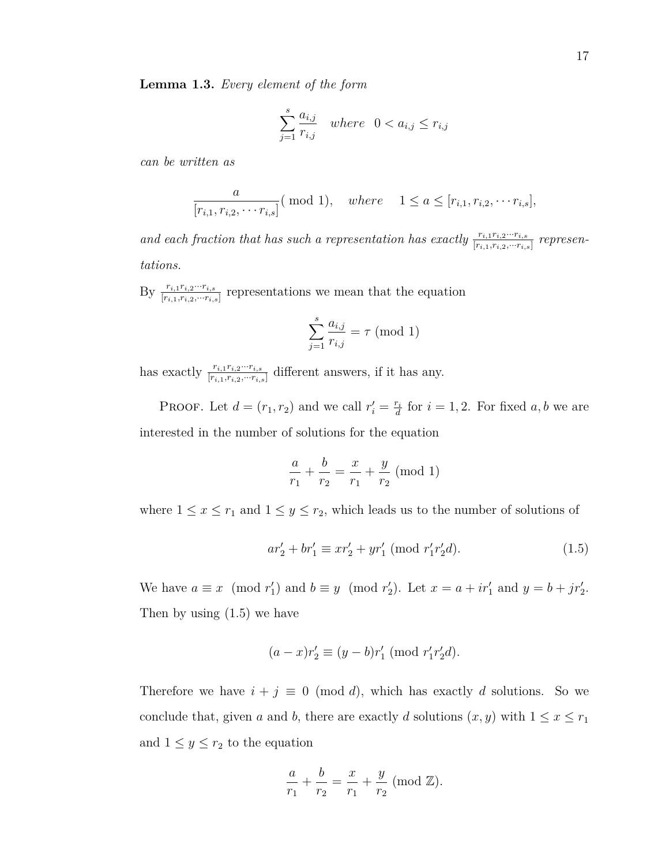**Lemma 1.3.** *Every element of the form*

$$
\sum_{j=1}^{s} \frac{a_{i,j}}{r_{i,j}} \quad where \quad 0 < a_{i,j} \le r_{i,j}
$$

*can be written as*

$$
\frac{a}{[r_{i,1}, r_{i,2}, \cdots r_{i,s}]} \quad (\text{mod } 1), \quad where \quad 1 \le a \le [r_{i,1}, r_{i,2}, \cdots r_{i,s}],
$$

*and each fraction that has such a representation has exactly*  $\frac{r_{i,1}r_{i,2}\cdots r_{i,s}}{[r_{i,1},r_{i,2},\cdots r_{i,s}]}$  represen*tations.*

By  $\frac{r_{i,1}r_{i,2}\cdots r_{i,s}}{[r_{i,1},r_{i,2},\cdots r_{i,s}]}$  representations we mean that the equation

$$
\sum_{j=1}^{s} \frac{a_{i,j}}{r_{i,j}} = \tau \text{ (mod 1)}
$$

has exactly  $\frac{r_{i,1}r_{i,2}\cdots r_{i,s}}{[r_{i,1},r_{i,2},\cdots r_{i,s}]}$  different answers, if it has any.

PROOF. Let  $d = (r_1, r_2)$  and we call  $r'_i = \frac{r_i}{d}$  $\frac{r_i}{d}$  for  $i = 1, 2$ . For fixed *a, b* we are interested in the number of solutions for the equation

$$
\frac{a}{r_1} + \frac{b}{r_2} = \frac{x}{r_1} + \frac{y}{r_2}
$$
 (mod 1)

where  $1 \leq x \leq r_1$  and  $1 \leq y \leq r_2$ , which leads us to the number of solutions of

$$
ar_2' + br_1' \equiv xr_2' + yr_1' \pmod{r_1'r_2'd}.\tag{1.5}
$$

We have  $a \equiv x \pmod{r'_1}$  and  $b \equiv y \pmod{r'_2}$ . Let  $x = a + ir'_1$  and  $y = b + jr'_2$ . Then by using (1.5) we have

$$
(a-x)r'_2 \equiv (y-b)r'_1 \; (\text{mod } r'_1r'_2d).
$$

Therefore we have  $i + j \equiv 0 \pmod{d}$ , which has exactly *d* solutions. So we conclude that, given *a* and *b*, there are exactly *d* solutions  $(x, y)$  with  $1 \le x \le r_1$ and  $1 \leq y \leq r_2$  to the equation

$$
\frac{a}{r_1} + \frac{b}{r_2} = \frac{x}{r_1} + \frac{y}{r_2}
$$
 (mod  $\mathbb{Z}$ ).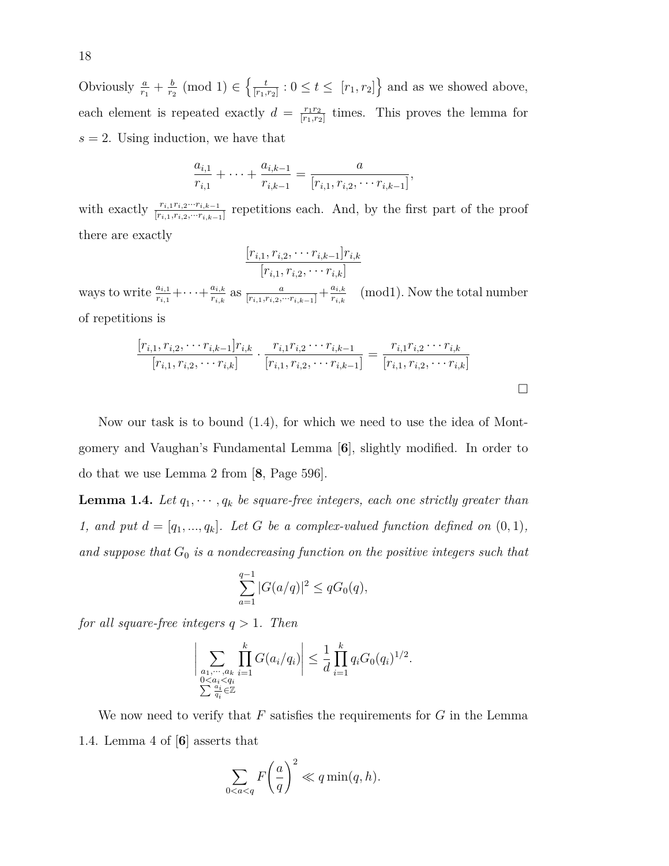Obviously  $\frac{a}{r_1} + \frac{b}{r_2}$  $\frac{b}{r_2}$  (mod 1)  $\in \left\{\frac{t}{[r_1, t_2]}\right\}$  $\frac{t}{[r_1,r_2]}$ :  $0 \le t \le [r_1,r_2]$  and as we showed above, each element is repeated exactly  $d = \frac{r_1 r_2}{r_1 r_2}$  $\frac{r_1r_2}{[r_1,r_2]}$  times. This proves the lemma for  $s = 2$ . Using induction, we have that

$$
\frac{a_{i,1}}{r_{i,1}} + \dots + \frac{a_{i,k-1}}{r_{i,k-1}} = \frac{a}{[r_{i,1}, r_{i,2}, \dots r_{i,k-1}]}
$$

*,*

with exactly  $\frac{r_{i,1}r_{i,2}\cdots r_{i,k-1}}{[r_{i,1},r_{i,2},\cdots r_{i,k-1}]}$  repetitions each. And, by the first part of the proof there are exactly

$$
\frac{[r_{i,1}, r_{i,2}, \cdots r_{i,k-1}]r_{i,k}}{[r_{i,1}, r_{i,2}, \cdots r_{i,k}]}
$$

ways to write  $\frac{a_{i,1}}{r_{i,1}} + \cdots + \frac{a_{i,k}}{r_{i,k}}$  $\frac{a_{i,k}}{r_{i,k}}$  as  $\frac{a}{[r_{i,1},r_{i,2},\cdots r_{i,k-1}]} + \frac{a_{i,k}}{r_{i,k}}$  $\frac{a_{i,k}}{r_{i,k}}$  (mod1). Now the total number of repetitions is

$$
\frac{[r_{i,1}, r_{i,2}, \cdots r_{i,k-1}]r_{i,k}}{[r_{i,1}, r_{i,2}, \cdots r_{i,k}]} \cdot \frac{r_{i,1}r_{i,2} \cdots r_{i,k-1}}{[r_{i,1}, r_{i,2}, \cdots r_{i,k-1}]} = \frac{r_{i,1}r_{i,2} \cdots r_{i,k}}{[r_{i,1}, r_{i,2}, \cdots r_{i,k}]}
$$

Now our task is to bound (1.4), for which we need to use the idea of Montgomery and Vaughan's Fundamental Lemma [**6**], slightly modified. In order to do that we use Lemma 2 from [**8**, Page 596].

**Lemma 1.4.** Let  $q_1, \dots, q_k$  be square-free integers, each one strictly greater than *1, and put*  $d = [q_1, ..., q_k]$ *. Let*  $G$  *be a complex-valued function defined on*  $(0, 1)$ *, and suppose that G*<sup>0</sup> *is a nondecreasing function on the positive integers such that*

$$
\sum_{a=1}^{q-1} |G(a/q)|^2 \le qG_0(q),
$$

*for all square-free integers q >* 1*. Then*

$$
\left| \sum_{\substack{a_1, \dots, a_k \\ 0 < a_i < q_i \\ \sum \frac{a_i}{q_i} \in \mathbb{Z}}} \prod_{i=1}^k G(a_i/q_i) \right| \leq \frac{1}{d} \prod_{i=1}^k q_i G_0(q_i)^{1/2}.
$$

We now need to verify that *F* satisfies the requirements for *G* in the Lemma 1.4. Lemma 4 of [**6**] asserts that

$$
\sum_{0 < a < q} F\left(\frac{a}{q}\right)^2 \ll q \min(q, h).
$$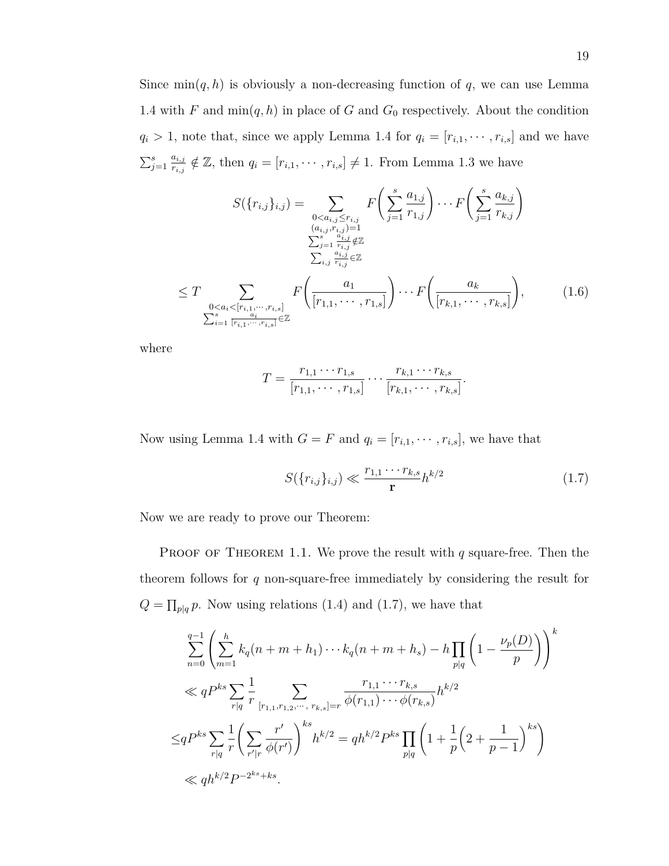Since  $\min(q, h)$  is obviously a non-decreasing function of q, we can use Lemma 1.4 with  $F$  and  $\min(q, h)$  in place of  $G$  and  $G_0$  respectively. About the condition  $q_i > 1$ , note that, since we apply Lemma 1.4 for  $q_i = [r_{i,1}, \dots, r_{i,s}]$  and we have  $\sum_{j=1}^s$ *ai,j*  $r_{i,j} \notin \mathbb{Z}$ , then  $q_i = [r_{i,1}, \cdots, r_{i,s}] \neq 1$ . From Lemma 1.3 we have

$$
S(\{r_{i,j}\}_{i,j}) = \sum_{\substack{0 < a_{i,j} \le r_{i,j} \\ (a_{i,j}, r_{i,j}) = 1 \\ \sum_{j=1}^{s} \frac{a_{1,j}}{r_{1,j}}} F\left(\sum_{j=1}^{s} \frac{a_{1,j}}{r_{1,j}}\right) \cdots F\left(\sum_{j=1}^{s} \frac{a_{k,j}}{r_{k,j}}\right) \\ \sum_{j=1}^{s} \frac{a_{i,j}}{r_{i,j}} \notin \mathbb{Z} \\ \sum_{i,j} \frac{a_{i,j}}{r_{i,j}} \in \mathbb{Z} \\ \leq T \sum_{\substack{0 < a_i < [r_{i,1}, \dots, r_{i,s}] \\ \sum_{i=1}^{s} \frac{a_i}{[r_{i,1}, \dots, r_{i,s}]} \in \mathbb{Z}}} F\left(\frac{a_1}{[r_{1,1}, \dots, r_{1,s}]}\right) \cdots F\left(\frac{a_k}{[r_{k,1}, \dots, r_{k,s}]}\right), \tag{1.6}
$$

where

$$
T = \frac{r_{1,1} \cdots r_{1,s}}{[r_{1,1}, \cdots, r_{1,s}]} \cdots \frac{r_{k,1} \cdots r_{k,s}}{[r_{k,1}, \cdots, r_{k,s}]}
$$

Now using Lemma 1.4 with  $G = F$  and  $q_i = [r_{i,1}, \dots, r_{i,s}]$ , we have that

$$
S(\lbrace r_{i,j} \rbrace_{i,j}) \ll \frac{r_{1,1} \cdots r_{k,s}}{\mathbf{r}} h^{k/2}
$$
\n(1.7)

*.*

Now we are ready to prove our Theorem:

PROOF OF THEOREM 1.1. We prove the result with  $q$  square-free. Then the theorem follows for *q* non-square-free immediately by considering the result for  $Q = \prod_{p|q} p$ . Now using relations (1.4) and (1.7), we have that

$$
\sum_{n=0}^{q-1} \left( \sum_{m=1}^{h} k_q(n+m+h_1) \cdots k_q(n+m+h_s) - h \prod_{p|q} \left( 1 - \frac{\nu_p(D)}{p} \right) \right)^k
$$
  
\n
$$
\ll qP^{ks} \sum_{r|q} \frac{1}{r} \sum_{[r_{1,1}, r_{1,2}, \cdots, r_{k,s}] = r} \frac{r_{1,1} \cdots r_{k,s}}{\phi(r_{1,1}) \cdots \phi(r_{k,s})} h^{k/2}
$$
  
\n
$$
\leq qP^{ks} \sum_{r|q} \frac{1}{r} \left( \sum_{r'|r} \frac{r'}{\phi(r')} \right)^{ks} h^{k/2} = qh^{k/2} P^{ks} \prod_{p|q} \left( 1 + \frac{1}{p} \left( 2 + \frac{1}{p-1} \right)^{ks} \right)
$$
  
\n
$$
\ll qh^{k/2} P^{-2^{ks} + ks}.
$$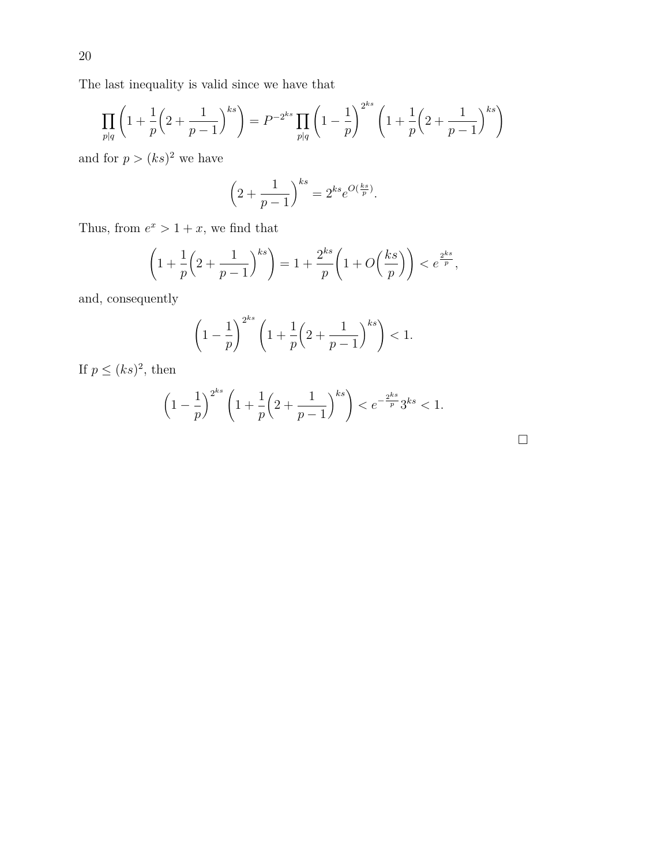The last inequality is valid since we have that

$$
\prod_{p|q} \left( 1 + \frac{1}{p} \left( 2 + \frac{1}{p-1} \right)^{ks} \right) = P^{-2^{ks}} \prod_{p|q} \left( 1 - \frac{1}{p} \right)^{2^{ks}} \left( 1 + \frac{1}{p} \left( 2 + \frac{1}{p-1} \right)^{ks} \right)
$$

and for  $p > (ks)^2$  we have

$$
\left(2 + \frac{1}{p-1}\right)^{ks} = 2^{ks} e^{O(\frac{ks}{p})}.
$$

Thus, from  $e^x > 1 + x$ , we find that

$$
\left(1 + \frac{1}{p}\left(2 + \frac{1}{p-1}\right)^{ks}\right) = 1 + \frac{2^{ks}}{p}\left(1 + O\left(\frac{ks}{p}\right)\right) < e^{\frac{2^{ks}}{p}},
$$

and, consequently

$$
\left(1 - \frac{1}{p}\right)^{2^{ks}} \left(1 + \frac{1}{p}\left(2 + \frac{1}{p-1}\right)^{ks}\right) < 1.
$$

If  $p \leq (ks)^2$ , then

$$
\left(1 - \frac{1}{p}\right)^{2^{ks}} \left(1 + \frac{1}{p}\left(2 + \frac{1}{p-1}\right)^{ks}\right) < e^{-\frac{2^{ks}}{p}} 3^{ks} < 1.
$$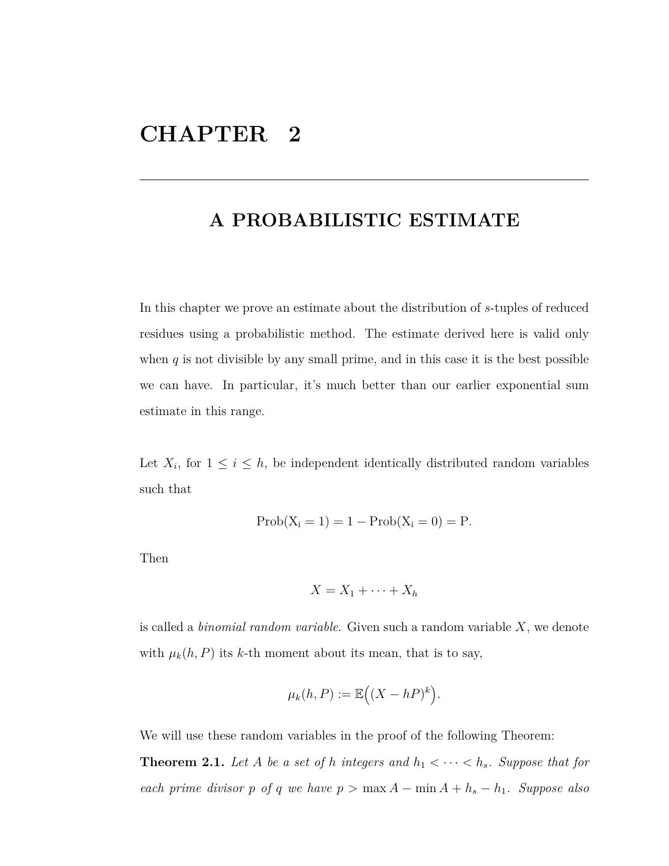# **CHAPTER 2**

### **A PROBABILISTIC ESTIMATE**

In this chapter we prove an estimate about the distribution of *s*-tuples of reduced residues using a probabilistic method. The estimate derived here is valid only when  $q$  is not divisible by any small prime, and in this case it is the best possible we can have. In particular, it's much better than our earlier exponential sum estimate in this range.

Let  $X_i$ , for  $1 \leq i \leq h$ , be independent identically distributed random variables such that

$$
{\rm Prob}(X_i = 1) = 1 - {\rm Prob}(X_i = 0) = P.
$$

Then

$$
X = X_1 + \cdots + X_h
$$

is called a *binomial random variable*. Given such a random variable *X*, we denote with  $\mu_k(h, P)$  its *k*-th moment about its mean, that is to say,

$$
\mu_k(h, P) := \mathbb{E}\Big((X - hP)^k\Big).
$$

We will use these random variables in the proof of the following Theorem:

**Theorem 2.1.** Let A be a set of h integers and  $h_1 < \cdots < h_s$ . Suppose that for *each prime divisor p of q we have*  $p > \max A - \min A + h_s - h_1$ *. Suppose also*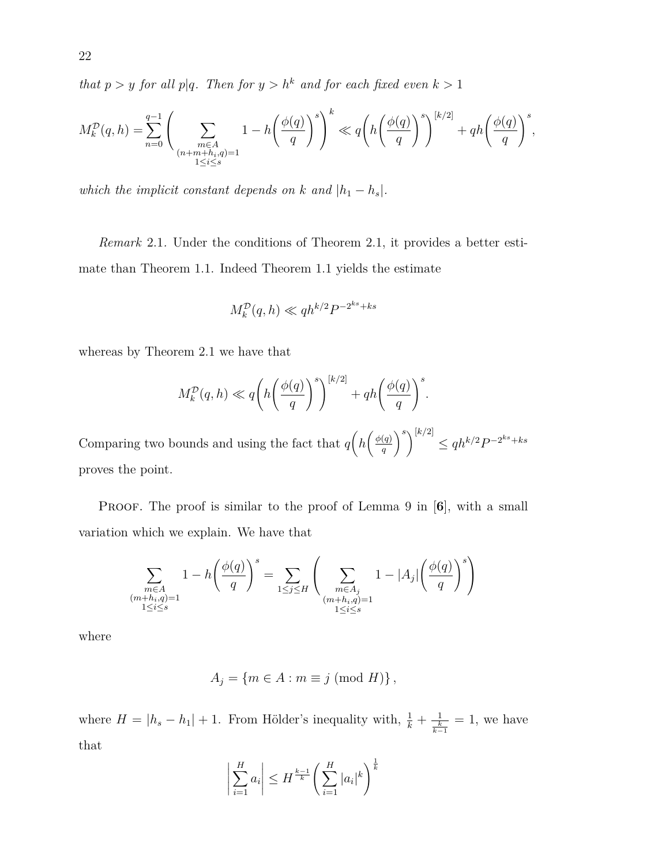*that*  $p > y$  *for all*  $p|q$ *. Then for*  $y > h^k$  *and for each fixed even*  $k > 1$ 

$$
M_k^{\mathcal{D}}(q,h) = \sum_{n=0}^{q-1} \Biggl(\sum_{\substack{m \in A \\ (n+m+h,q)=1 \\ 1 \leq i \leq s}} 1 - h\biggl(\frac{\phi(q)}{q}\biggr)^s \Biggr)^k \ll q \biggl(h\biggl(\frac{\phi(q)}{q}\biggr)^s \biggr)^{[k/2]} + q h\biggl(\frac{\phi(q)}{q}\biggr)^s,
$$

*which the implicit constant depends on*  $k$  *and*  $|h_1 - h_s|$ *.* 

*Remark* 2.1*.* Under the conditions of Theorem 2.1, it provides a better estimate than Theorem 1.1. Indeed Theorem 1.1 yields the estimate

$$
M_k^{\mathcal{D}}(q,h) \ll qh^{k/2}P^{-2^{ks}+ks}
$$

whereas by Theorem 2.1 we have that

$$
M_k^{\mathcal{D}}(q, h) \ll q \left( h \left( \frac{\phi(q)}{q} \right)^s \right)^{[k/2]} + q h \left( \frac{\phi(q)}{q} \right)^s.
$$

Comparing two bounds and using the fact that  $q\left(h\left(\frac{\phi(q)}{q}\right)\right)$ *q*  $\int^{s}$ <sup>[k/2]</sup>  $\leq qh^{k/2}P^{-2ks+ks}$ proves the point.

PROOF. The proof is similar to the proof of Lemma 9 in  $[6]$ , with a small variation which we explain. We have that

$$
\sum_{\substack{m \in A \\ (m+h_i,q)=1 \\ 1 \le i \le s}} 1 - h\left(\frac{\phi(q)}{q}\right)^s = \sum_{1 \le j \le H} \left(\sum_{\substack{m \in A_j \\ (m+h_i,q)=1 \\ 1 \le i \le s}} 1 - |A_j| \left(\frac{\phi(q)}{q}\right)^s\right)
$$

where

$$
A_j = \{ m \in A : m \equiv j \pmod{H} \},
$$

where  $H = |h_s - h_1| + 1$ . From Hölder's inequality with,  $\frac{1}{k} + \frac{1}{\frac{k}{k-1}} = 1$ , we have that

$$
\left| \sum_{i=1}^{H} a_i \right| \leq H^{\frac{k-1}{k}} \bigg( \sum_{i=1}^{H} |a_i|^k \bigg)^{\frac{1}{k}}
$$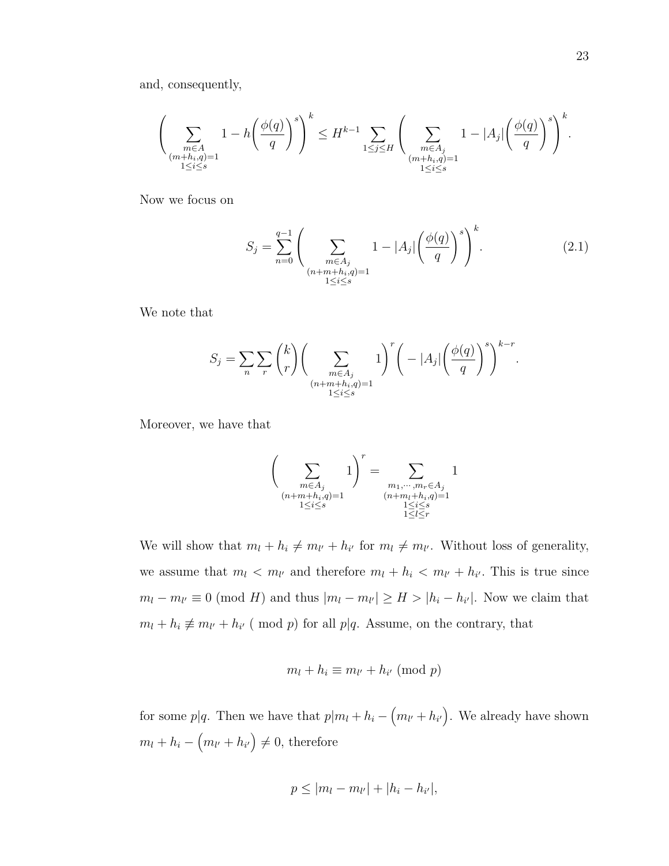and, consequently,

$$
\Bigg(\sum_{\substack{m\in A\\ (m+h_i,q)=1\\ 1\leq i\leq s}}1-h\bigg(\frac{\phi(q)}{q}\bigg)^s\Bigg)^k\leq H^{k-1}\sum_{1\leq j\leq H}\Bigg(\sum_{\substack{m\in A_j\\ (m+h_i,q)=1\\ 1\leq i\leq s}}1-|A_j|\bigg(\frac{\phi(q)}{q}\bigg)^s\Bigg)^k.
$$

Now we focus on

$$
S_j = \sum_{n=0}^{q-1} \left( \sum_{\substack{m \in A_j \\ (n+m+h_i,q)=1}} 1 - |A_j| \left( \frac{\phi(q)}{q} \right)^s \right)^k.
$$
 (2.1)

We note that

$$
S_j = \sum_{n} \sum_{r} {k \choose r} \left( \sum_{\substack{m \in A_j \\ (n+m+h_i,q)=1}} 1 \right)^r \left( -|A_j| \left( \frac{\phi(q)}{q} \right)^s \right)^{k-r}.
$$

Moreover, we have that

$$
\bigg(\sum_{\substack{m\in A_j\\ (n+m+h_i,q)=1\\ 1\leq i\leq s}}1\bigg)^r=\sum_{\substack{m_1,\cdots,m_r\in A_j\\ (n+m+h_i,q)=1\\ 1\leq i\leq s\\ 1\leq l\leq r}}1
$$

We will show that  $m_l + h_i \neq m_{l'} + h_{i'}$  for  $m_l \neq m_{l'}$ . Without loss of generality, we assume that  $m_l < m_{l'}$  and therefore  $m_l + h_i < m_{l'} + h_{i'}$ . This is true since  $m_l - m_{l'} \equiv 0 \pmod{H}$  and thus  $|m_l - m_{l'}| \geq H > |h_i - h_{i'}|$ . Now we claim that  $m_l + h_i \not\equiv m_{l'} + h_{i'}$  (mod *p*) for all *p*|*q*. Assume, on the contrary, that

$$
m_l + h_i \equiv m_{l'} + h_{i'} \pmod{p}
$$

for some  $p|q$ . Then we have that  $p|m_l + h_i - (m_{l'} + h_{i'})$ . We already have shown  $m_l + h_i - (m_{l'} + h_{i'}) \neq 0$ , therefore

$$
p \le |m_l - m_{l'}| + |h_i - h_{i'}|,
$$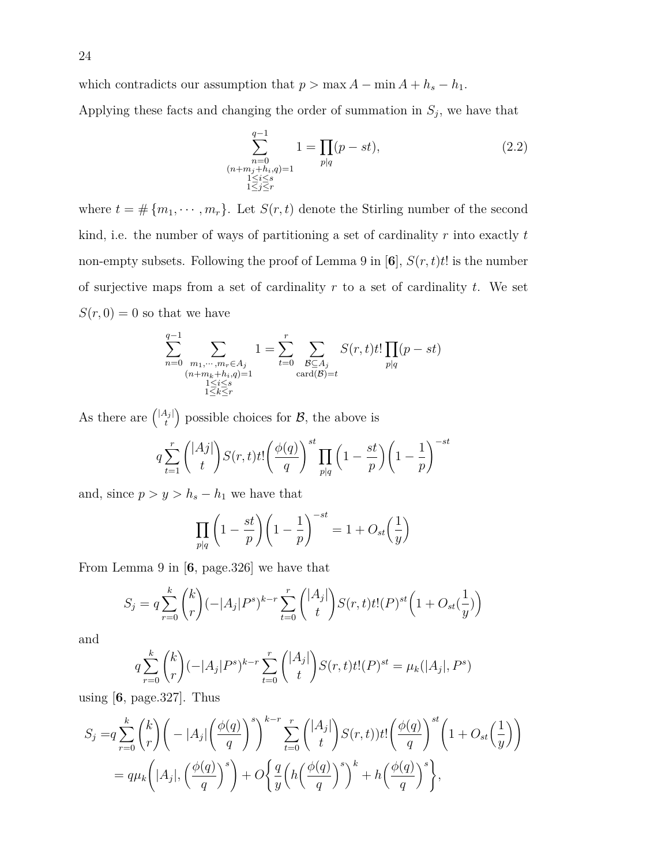which contradicts our assumption that  $p > \max A - \min A + h_s - h_1$ .

Applying these facts and changing the order of summation in  $S_j$ , we have that

$$
\sum_{\substack{n=0 \ (n+m_j+h_i,q)=1}}^{q-1} 1 = \prod_{p|q} (p-st),
$$
\n(2.2)\n
$$
\sum_{\substack{1 \le i \le s \ 1 \le j \le r}}^{q-1}
$$

where  $t = # \{m_1, \dots, m_r\}$ . Let  $S(r, t)$  denote the Stirling number of the second kind, i.e. the number of ways of partitioning a set of cardinality *r* into exactly *t* non-empty subsets. Following the proof of Lemma 9 in  $[6]$ ,  $S(r, t)t!$  is the number of surjective maps from a set of cardinality *r* to a set of cardinality *t*. We set  $S(r, 0) = 0$  so that we have

$$
\sum_{n=0}^{q-1} \sum_{\substack{m_1,\cdots,m_r \in A_j \\ (n+m_k+h_i,q)=1 \\ 1 \leq i \leq s \\ 1 \leq k \leq r}} 1 = \sum_{t=0}^{r} \sum_{\substack{\mathcal{B} \subseteq A_j \\ \text{card}(\mathcal{B}) = t}} S(r,t)t! \prod_{p|q} (p-st)
$$

As there are  $\binom{|A_j|}{l}$ *t* ) possible choices for  $\mathcal{B}$ , the above is

$$
q\sum_{t=1}^{r} \binom{|Aj|}{t} S(r,t)t! \left(\frac{\phi(q)}{q}\right)^{st} \prod_{p|q} \left(1 - \frac{st}{p}\right) \left(1 - \frac{1}{p}\right)^{-st}
$$

and, since  $p > y > h_s - h_1$  we have that

$$
\prod_{p|q} \left(1 - \frac{st}{p}\right) \left(1 - \frac{1}{p}\right)^{-st} = 1 + O_{st}\left(\frac{1}{y}\right)
$$

From Lemma 9 in [**6**, page.326] we have that

$$
S_j = q \sum_{r=0}^{k} {k \choose r} (-|A_j|P^s)^{k-r} \sum_{t=0}^{r} { |A_j| \choose t} S(r,t) t! (P)^{st} \left( 1 + O_{st}(\frac{1}{y}) \right)
$$

and

$$
q \sum_{r=0}^{k} {k \choose r} (-|A_j|P^s)^{k-r} \sum_{t=0}^{r} {|A_j| \choose t} S(r,t) t!(P)^{st} = \mu_k(|A_j|, P^s)
$$

using [**6**, page.327]. Thus

$$
S_j = q \sum_{r=0}^k {k \choose r} \left( -|A_j| \left( \frac{\phi(q)}{q} \right)^s \right)^{k-r} \sum_{t=0}^r { |A_j| \choose t} S(r,t) t! \left( \frac{\phi(q)}{q} \right)^{st} \left( 1 + O_{st} \left( \frac{1}{y} \right) \right)
$$
  
=  $q \mu_k \left( |A_j|, \left( \frac{\phi(q)}{q} \right)^s \right) + O \left\{ \frac{q}{y} \left( h \left( \frac{\phi(q)}{q} \right)^s \right)^k + h \left( \frac{\phi(q)}{q} \right)^s \right\},$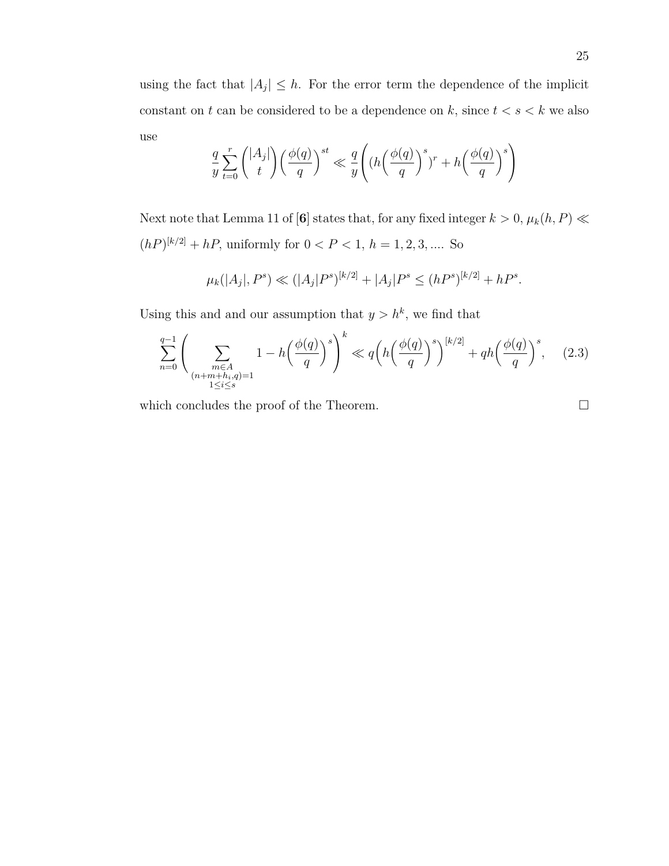using the fact that  $|A_j| \leq h$ . For the error term the dependence of the implicit constant on *t* can be considered to be a dependence on *k*, since  $t < s < k$  we also use  $\lambda$ 

$$
\frac{q}{y} \sum_{t=0}^r \binom{|A_j|}{t} \left(\frac{\phi(q)}{q}\right)^{st} \ll \frac{q}{y} \left( \left(h\left(\frac{\phi(q)}{q}\right)^s\right)^r + h\left(\frac{\phi(q)}{q}\right)^s \right)
$$

Next note that Lemma 11 of  $[6]$  states that, for any fixed integer  $k > 0$ ,  $\mu_k(h, P) \ll$  $(hP)^{[k/2]} + hP$ , uniformly for  $0 < P < 1$ ,  $h = 1, 2, 3, ...$  So

$$
\mu_k(|A_j|, P^s) \ll (|A_j|P^s)^{[k/2]} + |A_j|P^s \le (hP^s)^{[k/2]} + hP^s.
$$

Using this and and our assumption that  $y > h^k$ , we find that

$$
\sum_{n=0}^{q-1} \left( \sum_{\substack{m \in A \\ (n+m+h_i,q)=1}} 1 - h\left(\frac{\phi(q)}{q}\right)^s \right)^k \ll q \left( h\left(\frac{\phi(q)}{q}\right)^s \right)^{[k/2]} + qh\left(\frac{\phi(q)}{q}\right)^s, \quad (2.3)
$$

which concludes the proof of the Theorem.  $\Box$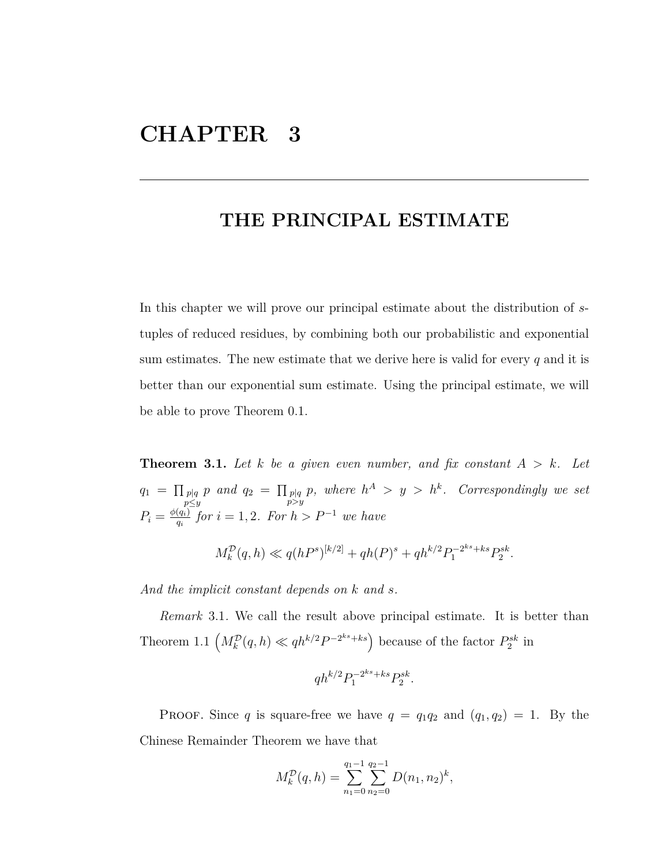# **CHAPTER 3**

### **THE PRINCIPAL ESTIMATE**

In this chapter we will prove our principal estimate about the distribution of *s*tuples of reduced residues, by combining both our probabilistic and exponential sum estimates. The new estimate that we derive here is valid for every *q* and it is better than our exponential sum estimate. Using the principal estimate, we will be able to prove Theorem 0.1.

**Theorem 3.1.** *Let k be a given even number, and fix constant A > k. Let*  $q_1 = \prod_{p|q}$ *p*≤*y p* and  $q_2 = \prod_{\substack{p|q \ p>y}}$  $p$ *, where*  $h^A > y > h^k$ *. Correspondingly we set*  $P_i = \frac{\phi(q_i)}{q_i}$  $\frac{(q_i)}{q_i}$  *for*  $i = 1, 2$ *. For*  $h > P^{-1}$  *we have* 

$$
M_k^{\mathcal{D}}(q,h) \ll q(hP^s)^{[k/2]} + qh(P)^s + qh^{k/2}P_1^{-2^{ks}+ks}P_2^{sk}.
$$

*And the implicit constant depends on k and s.*

*Remark* 3.1*.* We call the result above principal estimate. It is better than Theorem 1.1  $\left(M_k^{\mathcal{D}}(q, h) \ll qh^{k/2}P^{-2^{ks}+ks}\right)$  because of the factor  $P_2^{sk}$  in

$$
qh^{k/2}P_1^{-2ks+ks}P_2^{sk}.
$$

PROOF. Since *q* is square-free we have  $q = q_1q_2$  and  $(q_1, q_2) = 1$ . By the Chinese Remainder Theorem we have that

$$
M_k^{\mathcal{D}}(q,h) = \sum_{n_1=0}^{q_1-1} \sum_{n_2=0}^{q_2-1} D(n_1,n_2)^k,
$$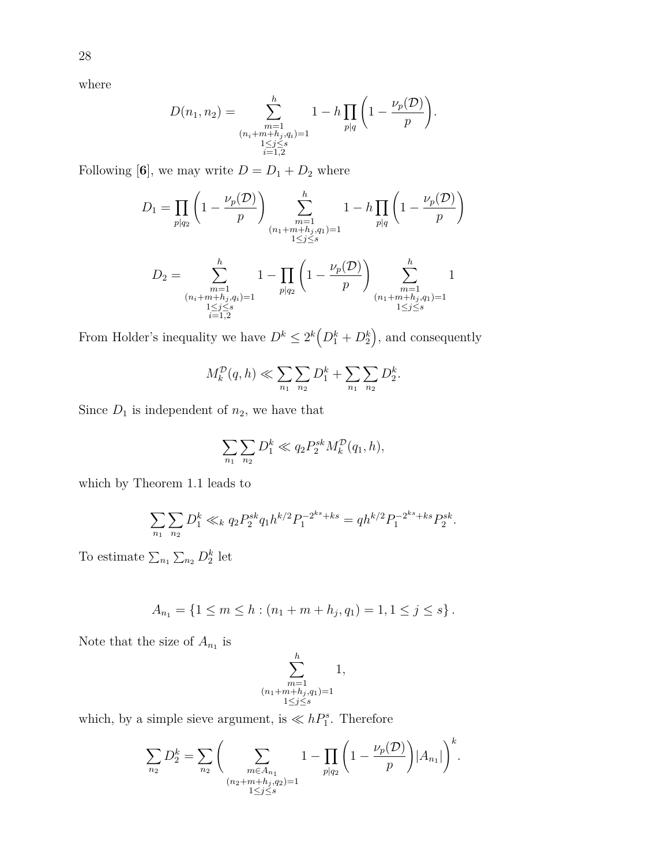28

where

$$
D(n_1, n_2) = \sum_{\substack{m=1 \ (n_i + m + h_j, q_i) = 1}}^{h} 1 - h \prod_{p \mid q} \left( 1 - \frac{\nu_p(\mathcal{D})}{p} \right).
$$
  

$$
\sum_{\substack{1 \le j \le s \\ i = 1, 2}}^{h} 1 - h \prod_{p \mid q} \left( 1 - \frac{\nu_p(\mathcal{D})}{p} \right).
$$

Following [6], we may write  $D = D_1 + D_2$  where

$$
D_1 = \prod_{p|q_2} \left( 1 - \frac{\nu_p(\mathcal{D})}{p} \right) \sum_{\substack{m=1 \ (n_1 + m + h_j, q_1) = 1}}^h 1 - h \prod_{p|q} \left( 1 - \frac{\nu_p(\mathcal{D})}{p} \right)
$$
  

$$
D_2 = \sum_{\substack{m=1 \ (n_i + m + h_j, q_1) = 1}}^h 1 - \prod_{p|q_2} \left( 1 - \frac{\nu_p(\mathcal{D})}{p} \right) \sum_{\substack{m=1 \ (n_1 + m + h_j, q_1) = 1}}^h 1
$$
  

$$
\frac{1 \le j \le s}{\sum_{i=1,2}} \prod_{\substack{1 \le j \le s}}^h 1 - \prod_{p|q_2} \left( 1 - \frac{\nu_p(\mathcal{D})}{p} \right) \sum_{\substack{n=1 \ (n_1 + m + h_j, q_1) = 1}}^h 1
$$

From Holder's inequality we have  $D^k \leq 2^k (D_1^k + D_2^k)$ , and consequently

$$
M_k^{\mathcal{D}}(q,h) \ll \sum_{n_1} \sum_{n_2} D_1^k + \sum_{n_1} \sum_{n_2} D_2^k.
$$

Since  $D_1$  is independent of  $n_2$ , we have that

$$
\sum_{n_1} \sum_{n_2} D_1^k \ll q_2 P_2^{sk} M_k^{\mathcal{D}}(q_1, h),
$$

which by Theorem 1.1 leads to

$$
\sum_{n_1} \sum_{n_2} D_1^k \ll_k q_2 P_2^{sk} q_1 h^{k/2} P_1^{-2ks+ks} = q h^{k/2} P_1^{-2ks+ks} P_2^{sk}.
$$

To estimate  $\sum_{n_1} \sum_{n_2} D_2^k$  let

$$
A_{n_1} = \{1 \le m \le h : (n_1 + m + h_j, q_1) = 1, 1 \le j \le s\}.
$$

Note that the size of  $A_{n_1}$  is

$$
\sum_{\substack{m=1 \ (n_1+m+h_j,q_1)=1}}^{h} 1,
$$

which, by a simple sieve argument, is  $\ll hP_1^s$ . Therefore

$$
\sum_{n_2} D_2^k = \sum_{n_2} \Biggl( \sum_{\substack{m \in A_{n_1} \\ (n_2 + m + h_j, q_2) = 1}} 1 - \prod_{p \mid q_2} \Biggl( 1 - \frac{\nu_p(\mathcal{D})}{p} \Biggr) |A_{n_1}| \Biggr)^k.
$$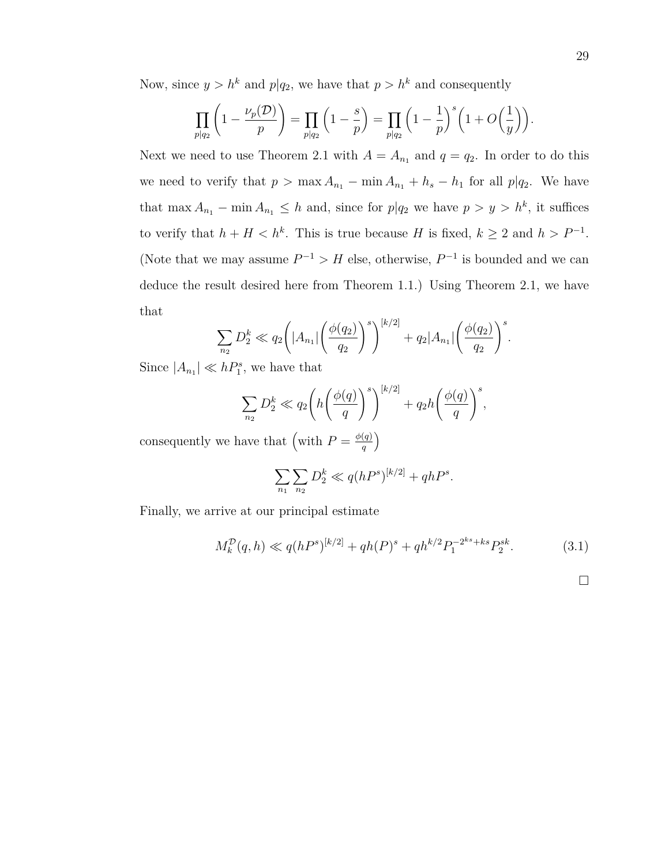Now, since  $y > h^k$  and  $p|q_2$ , we have that  $p > h^k$  and consequently

$$
\prod_{p|q_2} \left(1 - \frac{\nu_p(\mathcal{D})}{p}\right) = \prod_{p|q_2} \left(1 - \frac{s}{p}\right) = \prod_{p|q_2} \left(1 - \frac{1}{p}\right)^s \left(1 + O\left(\frac{1}{y}\right)\right).
$$

Next we need to use Theorem 2.1 with  $A = A_{n_1}$  and  $q = q_2$ . In order to do this we need to verify that  $p > \max A_{n_1} - \min A_{n_1} + h_s - h_1$  for all  $p|q_2$ . We have that max  $A_{n_1}$  – min  $A_{n_1} \leq h$  and, since for  $p|q_2$  we have  $p > y > h^k$ , it suffices to verify that  $h + H < h^k$ . This is true because *H* is fixed,  $k \geq 2$  and  $h > P^{-1}$ . (Note that we may assume  $P^{-1} > H$  else, otherwise,  $P^{-1}$  is bounded and we can deduce the result desired here from Theorem 1.1.) Using Theorem 2.1, we have that

$$
\sum_{n_2} D_2^k \ll q_2 \left( |A_{n_1}| \left( \frac{\phi(q_2)}{q_2} \right)^s \right)^{[k/2]} + q_2 |A_{n_1}| \left( \frac{\phi(q_2)}{q_2} \right)^s.
$$

Since  $|A_{n_1}| \ll hP_1^s$ , we have that

$$
\sum_{n_2} D_2^k \ll q_2 \bigg(h\bigg(\frac{\phi(q)}{q}\bigg)^s\bigg)^{[k/2]} + q_2 h\bigg(\frac{\phi(q)}{q}\bigg)^s,
$$

consequently we have that (with  $P = \frac{\phi(q)}{q}$ *q*  $\setminus$ 

$$
\sum_{n_1} \sum_{n_2} D_2^k \ll q(hP^s)^{[k/2]} + qhP^s.
$$

Finally, we arrive at our principal estimate

$$
M_k^{\mathcal{D}}(q,h) \ll q(hP^s)^{[k/2]} + qh(P)^s + qh^{k/2}P_1^{-2ks + ks}P_2^{sk}.
$$
 (3.1)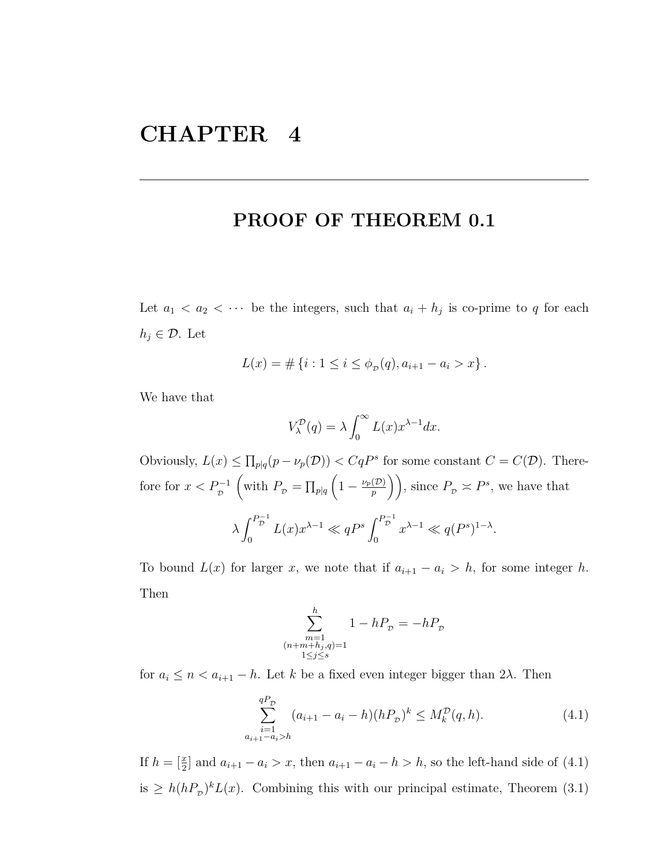# **CHAPTER 4**

### **PROOF OF THEOREM 0.1**

Let  $a_1 < a_2 < \cdots$  be the integers, such that  $a_i + h_j$  is co-prime to q for each  $h_j \in \mathcal{D}$ . Let

$$
L(x) = # \{ i : 1 \le i \le \phi_{\mathcal{D}}(q), a_{i+1} - a_i > x \}.
$$

We have that

$$
V_\lambda^{\mathcal{D}}(q)=\lambda\int_0^\infty L(x)x^{\lambda-1}dx.
$$

Obviously,  $L(x) \le \prod_{p|q}(p - \nu_p(\mathcal{D})) < CqP^s$  for some constant  $C = C(\mathcal{D})$ . Therefore for  $x < P_{\mathcal{D}}^{-1}$  $\left(\text{with } P_p = \prod_{p|q} \right)$  $\left(1-\frac{\nu_p(\mathcal{D})}{n}\right)$  $\binom{(\mathcal{D})}{p}$ , since  $P_p \asymp P^s$ , we have that  $\lambda \int_{0}^{P_{\mathcal{D}}^{-1}}$  $\int_0^{P_{\mathcal{D}}^{-1}} L(x) x^{\lambda-1} \ll qP^s \int_0^{P_{\mathcal{D}}^{-1}}$  $\int_0^{+\infty} x^{\lambda-1} \ll q(P^s)^{1-\lambda}.$ 

To bound  $L(x)$  for larger *x*, we note that if  $a_{i+1} - a_i > h$ , for some integer *h*. Then

$$
\sum_{\substack{m=1\\(n+m+h_j,q)=1\\1\leq j\leq s}}^h 1-hP_{\scriptscriptstyle\mathcal{D}}=-hP_{\scriptscriptstyle\mathcal{D}}
$$

for  $a_i \leq n < a_{i+1} - h$ . Let *k* be a fixed even integer bigger than 2 $\lambda$ . Then

$$
\sum_{\substack{i=1 \ a_{i+1}-a_i>b}}^{qP_{\mathcal{D}}} (a_{i+1}-a_i-h)(hP_{\mathcal{D}})^k \le M_k^{\mathcal{D}}(q,h). \tag{4.1}
$$

If  $h = \left[\frac{x}{2}\right]$  and  $a_{i+1} - a_i > x$ , then  $a_{i+1} - a_i - h > h$ , so the left-hand side of (4.1) is  $\geq h(hP_p)^k L(x)$ . Combining this with our principal estimate, Theorem (3.1)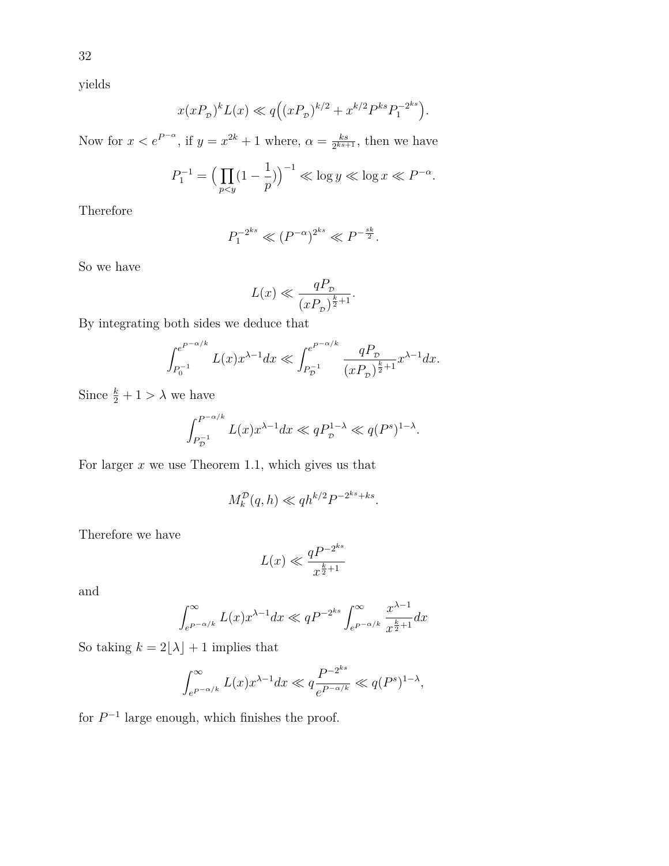yields

$$
x(xP_p)^k L(x) \ll q((xP_p)^{k/2} + x^{k/2} P^{ks} P_1^{-2ks}).
$$

Now for  $x < e^{P^{-\alpha}}$ , if  $y = x^{2k} + 1$  where,  $\alpha = \frac{ks}{2^{ks}}$  $\frac{ks}{2^{ks+1}}$ , then we have

$$
P_1^{-1} = \left(\prod_{p < y} (1 - \frac{1}{p})\right)^{-1} \ll \log y \ll \log x \ll P^{-\alpha}.
$$

Therefore

$$
P_1^{-2ks} \ll (P^{-\alpha})^{2ks} \ll P^{-\frac{sk}{2}}.
$$

So we have

$$
L(x) \ll \frac{qP_p}{(xP_p)^{\frac{k}{2}+1}}.
$$

By integrating both sides we deduce that

$$
\int_{P_0^{-1}}^{e^{P^{-\alpha/k}}} L(x)x^{\lambda-1}dx \ll \int_{P_{\mathcal{D}}^{-1}}^{e^{P^{-\alpha/k}}} \frac{qP_{\mathcal{D}}}{(xP_{\mathcal{D}})^{\frac{k}{2}+1}}x^{\lambda-1}dx.
$$

Since  $\frac{k}{2} + 1 > \lambda$  we have

$$
\int_{P_{\mathcal{D}}^{-1}}^{P^{-\alpha/k}} L(x) x^{\lambda-1} dx \ll q P_{\mathcal{D}}^{1-\lambda} \ll q(P^s)^{1-\lambda}.
$$

For larger *x* we use Theorem 1.1, which gives us that

$$
M_k^{\mathcal{D}}(q,h) \ll qh^{k/2}P^{-2^{ks}+ks}.
$$

Therefore we have

$$
L(x) \ll \frac{qP^{-2ks}}{x^{\frac{k}{2}+1}}
$$

and

$$
\int_{e^{P^{-\alpha/k}}}^{\infty} L(x) x^{\lambda-1} dx \ll qP^{-2ks} \int_{e^{P^{-\alpha/k}}}^{\infty} \frac{x^{\lambda-1}}{x^{\frac{k}{2}+1}} dx
$$

So taking  $k = 2\lfloor \lambda \rfloor + 1$  implies that

$$
\int_{e^{P^{-\alpha/k}}}^{\infty} L(x) x^{\lambda-1} dx \ll q \frac{P^{-2ks}}{e^{P^{-\alpha/k}}} \ll q(P^s)^{1-\lambda},
$$

for  $P^{-1}$  large enough, which finishes the proof.